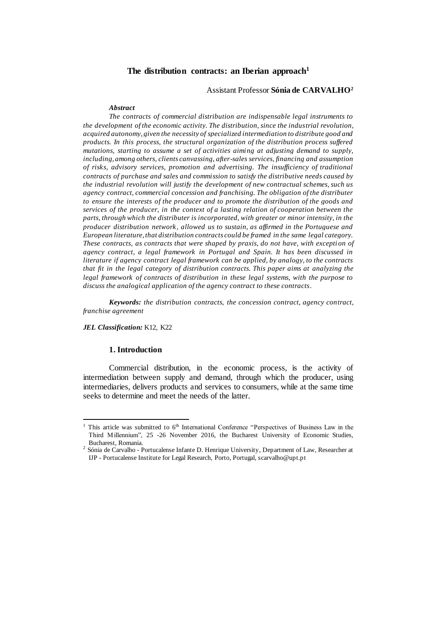# **The distribution contracts: an Iberian approach<sup>1</sup>**

#### Assistant Professor **Sónia de CARVALHO<sup>2</sup>**

#### *Abstract*

*The contracts of commercial distribution are indispensable legal instruments to the development of the economic activity. The distribution, since the industrial revolution, acquired autonomy, given the necessity of specialized intermediation to distribute good and products. In this process, the structural organization of the distribution process suffered mutations, starting to assume a set of activities aiming at adjusting demand to supply, including, among others, clients canvassing, after-sales services, financing and assumption of risks, advisory services, promotion and advertising. The insufficiency of traditional contracts of purchase and sales and commission to satisfy the distributive needs caused by the industrial revolution will justify the development of new contractual schemes, such us agency contract, commercial concession and franchising. The obligation of the distributer to ensure the interests of the producer and to promote the distribution of the goods and services of the producer, in the context of a lasting relation of cooperation between the parts, through which the distributer is incorporated, with greater or minor intensity, in the producer distribution network, allowed us to sustain, as affirmed in the Portuguese and European literature, that distribution contracts could be framed in the same legal category. These contracts, as contracts that were shaped by praxis, do not have, with exception of agency contract, a legal framework in Portugal and Spain. It has been discussed in literature if agency contract legal framework can be applied, by analogy, to the contracts that fit in the legal category of distribution contracts. This paper aims at analyzing the legal framework of contracts of distribution in these legal systems, with the purpose to discuss the analogical application of the agency contract to these contracts.*

*Keywords: the distribution contracts, the concession contract, agency contract, franchise agreement*

#### *JEL Classification:* K12, K22

 $\overline{a}$ 

### **1. Introduction**

Commercial distribution, in the economic process, is the activity of intermediation between supply and demand, through which the producer, using intermediaries, delivers products and services to consumers, while at the same time seeks to determine and meet the needs of the latter.

This article was submitted to 6<sup>th</sup> International Conference "Perspectives of Business Law in the Third Millennium", 25 -26 November 2016, the Bucharest University of Economic Studies, Bucharest, Romania.

 $2$  Sónia de Carvalho - Portucalense Infante D. Henrique University, Department of Law, Researcher at IJP - Portucalense Institute for Legal Research, Porto, Portugal, scarvalho@upt.pt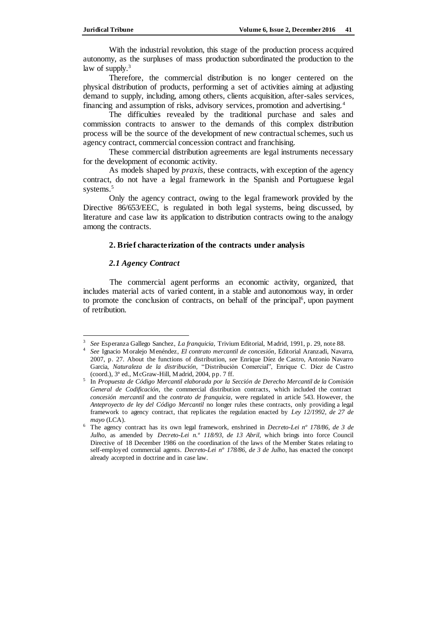With the industrial revolution, this stage of the production process acquired autonomy, as the surpluses of mass production subordinated the production to the law of supply.<sup>3</sup>

Therefore, the commercial distribution is no longer centered on the physical distribution of products, performing a set of activities aiming at adjusting demand to supply, including, among others, clients acquisition, after-sales services, financing and assumption of risks, advisory services, promotion and advertising.<sup>4</sup>

The difficulties revealed by the traditional purchase and sales and commission contracts to answer to the demands of this complex distribution process will be the source of the development of new contractual schemes, such us agency contract, commercial concession contract and franchising.

These commercial distribution agreements are legal instruments necessary for the development of economic activity.

As models shaped by *praxis,* these contracts, with exception of the agency contract, do not have a legal framework in the Spanish and Portuguese legal systems.<sup>5</sup>

Only the agency contract, owing to the legal framework provided by the Directive 86/653/EEC, is regulated in both legal systems, being discussed, by literature and case law its application to distribution contracts owing to the analogy among the contracts.

## **2. Brief characterization of the contracts under analysis**

### *2.1 Agency Contract*

 $\overline{a}$ 

The commercial agent performs an economic activity, organized, that includes material acts of varied content, in a stable and autonomous way, in order to promote the conclusion of contracts, on behalf of the principal<sup>6</sup>, upon payment of retribution.

<sup>3</sup> *See* Esperanza Gallego Sanchez, *La franquicia*, Trivium Editorial, Madrid, 1991, p. 29, note 88.

<sup>4</sup> *See* Ignacio Moralejo Menéndez, *El contrato mercantil de concesión*, Editorial Aranzadi, Navarra, 2007, p. 27. About the functions of distribution, *see* Enrique Díez de Castro, Antonio Navarro Garcia, *Naturaleza de la distribución*, "Distribución Comercial", Enrique C. Díez de Castro (coord.), 3ª ed., McGraw-Hill, Madrid, 2004, pp. 7 ff.

<sup>5</sup> In *Propuesta de Código Mercantil elaborada por la Sección de Derecho Mercantil de la Comisión General de Codificación*, the commercial distribution contracts, which included the contract *concesión mercantil* and the *contrato de franquicia*, were regulated in article 543. However, the *Anteproyecto de ley del Código Mercantil* no longer rules these contracts, only providing a legal framework to agency contract, that replicates the regulation enacted by *Ley 12/1992, de 27 de mayo* (LCA).

<sup>6</sup> The agency contract has its own legal framework, enshrined in *Decreto-Lei nº 178/86, de 3 de Julho*, as amended by *Decreto-Lei n.º 118/93, de 13 Abril*, which brings into force Council Directive of 18 December 1986 on the coordination of the laws of the Member States relating to self-employed commercial agents. *Decreto-Lei nº 178/86, de 3 de Julho*, has enacted the concept already accepted in doctrine and in case law.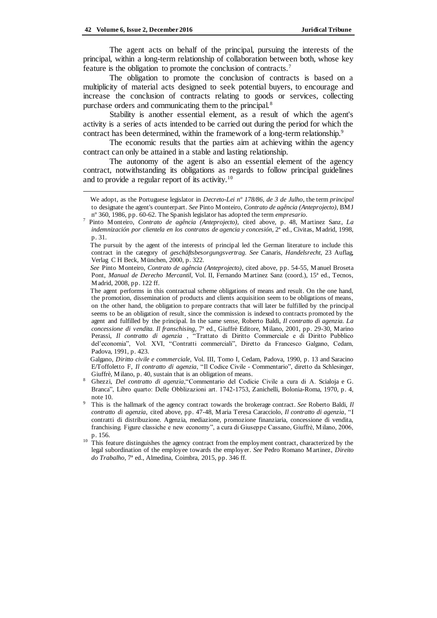The agent acts on behalf of the principal, pursuing the interests of the principal, within a long-term relationship of collaboration between both, whose key feature is the obligation to promote the conclusion of contracts.<sup>7</sup>

The obligation to promote the conclusion of contracts is based on a multiplicity of material acts designed to seek potential buyers, to encourage and increase the conclusion of contracts relating to goods or services, collecting purchase orders and communicating them to the principal.<sup>8</sup>

Stability is another essential element, as a result of which the agent's activity is a series of acts intended to be carried out during the period for which the contract has been determined, within the framework of a long-term relationship.<sup>9</sup>

The economic results that the parties aim at achieving within the agency contract can only be attained in a stable and lasting relationship.

The autonomy of the agent is also an essential element of the agency contract, notwithstanding its obligations as regards to follow principal guidelines and to provide a regular report of its activity.<sup>10</sup>

Galgano, *Diritto civile e commerciale*, Vol. III, Tomo I, Cedam, Padova, 1990, p. 13 and Saracino E/Toffoletto F, *Il contratto di agenzia*, "Il Codice Civile - Commentario", diretto da Schlesinger, Giuffrè, Milano, p. 40, sustain that is an obligation of means.

We adopt, as the Portuguese legislator in *Decreto-Lei nº 178/86, de 3 de Julho*, the term *principal*  to designate the agent's counterpart. *See* Pinto Monteiro, *Contrato de agência (Anteprojecto)*, BMJ nº 360, 1986, pp. 60-62. The Spanish legislator has adopted the term *empresario*.

<sup>7</sup> Pinto Monteiro*, Contrato de agência (Anteprojecto),* cited above, p. 48, Martinez Sanz, *La indemnización por clientela en los contratos de agencia y concesión*, 2ª ed., Civitas, Madrid, 1998, p. 31.

The pursuit by the agent of the interests of principal led the German literature to include this contract in the category of *geschäftsbesorgungsvertrag. See* Canaris, *Handelsrecht*, 23 Auflag, Verlag C H Beck, München, 2000, p. 322.

*See* Pinto Monteiro, *Contrato de agência (Anteprojecto)*, cited above, pp. 54-55, Manuel Broseta Pont, *Manual de Derecho Mercantil*, Vol. II, Fernando Martinez Sanz (coord.), 15ª ed., Tecnos, Madrid, 2008, pp. 122 ff.

The agent performs in this contractual scheme obligations of means and result. On the one hand, the promotion, dissemination of products and clients acquisition seem to be obligations of means, on the other hand, the obligation to prepare contracts that will later be fulfilled by the principal seems to be an obligation of result, since the commission is indexed to contracts promoted by the agent and fulfilled by the principal. In the same sense, Roberto Baldi, *Il contratto di agenzia. La concessione di vendita. Il franschising*, 7ª ed., Giuffrè Editore, Milano, 2001, pp. 29-30, Marino Perassi, *Il contratto di agenzia* , "Trattato di Diritto Commerciale e di Diritto Pubblico del'economia", Vol. XVI, "Contratti commerciali", Diretto da Francesco Galgano, Cedam, Padova, 1991, p. 423.

<sup>8</sup> Ghezzi, *Del contratto di agenzia*,"Commentario del Codicie Civile a cura di A. Scialoja e G. Branca", Libro quarto: Delle Obblizazioni art. 1742-1753, Zanichelli, Bolonia-Roma, 1970, p. 4, note 10.

<sup>9</sup> This is the hallmark of the agency contract towards the brokerage contract. *See* Roberto Baldi, *Il contratto di agenzia*, cited above, pp. 47-48, Maria Teresa Caracciolo, *Il contratto di agenzia*, "I contratti di distribuzione. Agenzia, mediazione, promozione finanziaria, concessione di vendita, franchising. Figure classiche e new economy", a cura di Giuseppe Cassano, Giuffrè, Milano, 2006, p. 156.

 $10<sup>10</sup>$  This feature distinguishes the agency contract from the employment contract, characterized by the legal subordination of the employee towards the employer. *See* Pedro Romano Martinez, *Direito do Trabalho*, 7ª ed., Almedina, Coimbra, 2015, pp. 346 ff.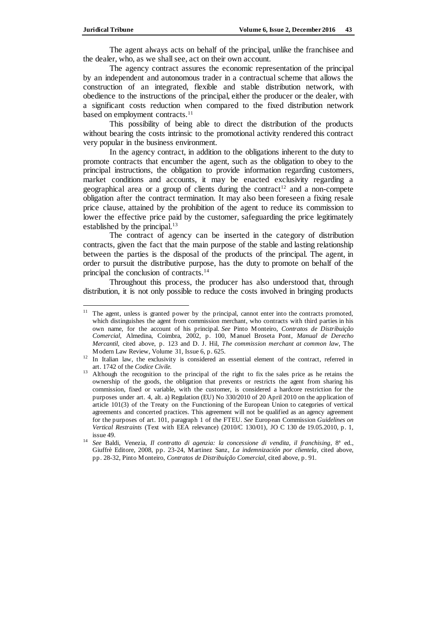The agent always acts on behalf of the principal, unlike the franchisee and the dealer, who, as we shall see, act on their own account.

The agency contract assures the economic representation of the principal by an independent and autonomous trader in a contractual scheme that allows the construction of an integrated, flexible and stable distribution network, with obedience to the instructions of the principal, either the producer or the dealer, with a significant costs reduction when compared to the fixed distribution network based on employment contracts.<sup>11</sup>

This possibility of being able to direct the distribution of the products without bearing the costs intrinsic to the promotional activity rendered this contract very popular in the business environment.

In the agency contract, in addition to the obligations inherent to the duty to promote contracts that encumber the agent, such as the obligation to obey to the principal instructions, the obligation to provide information regarding customers, market conditions and accounts, it may be enacted exclusivity regarding a geographical area or a group of clients during the contract<sup>12</sup> and a non-compete obligation after the contract termination. It may also been foreseen a fixing resale price clause, attained by the prohibition of the agent to reduce its commission to lower the effective price paid by the customer, safeguarding the price legitimately established by the principal.<sup>13</sup>

The contract of agency can be inserted in the category of distribution contracts, given the fact that the main purpose of the stable and lasting relationship between the parties is the disposal of the products of the principal. The agent, in order to pursuit the distributive purpose, has the duty to promote on behalf of the principal the conclusion of contracts.<sup>14</sup>

Throughout this process, the producer has also understood that, through distribution, it is not only possible to reduce the costs involved in bringing products

 $\overline{a}$ <sup>11</sup> The agent, unless is granted power by the principal, cannot enter into the contracts promoted, which distinguishes the agent from commission merchant, who contracts with third parties in his own name, for the account of his principal. *See* Pinto Monteiro, *Contratos de Distribuição Comercial,* Almedina, Coimbra, 2002, p. 100, Manuel Broseta Pont, *Manual de Derecho Mercantil*, cited above, p. 123 and D. J. Hil, *The commission merchant at common law*, The Modern Law Review, Volume 31, Issue 6, p. 625.

<sup>&</sup>lt;sup>12</sup> In Italian law, the exclusivity is considered an essential element of the contract, referred in art. 1742 of the *Codice Civile.*

<sup>&</sup>lt;sup>13</sup> Although the recognition to the principal of the right to fix the sales price as he retains the ownership of the goods, the obligation that prevents or restricts the agent from sharing his commission, fixed or variable, with the customer, is considered a hardcore restriction for the purposes under art. 4, alt. a) Regulation (EU) No 330/2010 of 20 April 2010 on the application of article 101(3) of the Treaty on the Functioning of the European Union to categories of vertical agreements and concerted practices. This agreement will not be qualified as an agency agreement for the purposes of art. 101, paragraph 1 of the FTEU. *See* European Commission *Guidelines on Vertical Restraints* (Text with EEA relevance) (2010/C 130/01), JO C 130 de 19.05.2010, p. 1, issue 49.

<sup>14</sup> *See* Baldi, Venezia, *Il contratto di agenzia: la concessione di vendita, il franchising*, 8ª ed., Giuffrè Editore, 2008, pp. 23-24, Martinez Sanz, *La indemnización por clientela*, cited above, pp. 28-32, Pinto Monteiro, *Contratos de Distribuição Comercial*, cited above, p. 91.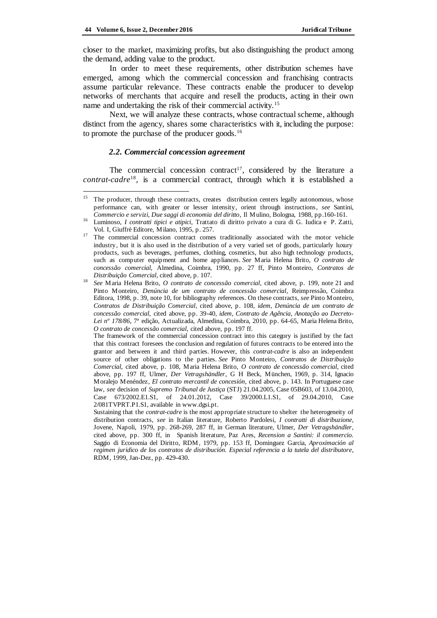closer to the market, maximizing profits, but also distinguishing the product among the demand, adding value to the product.

In order to meet these requirements, other distribution schemes have emerged, among which the commercial concession and franchising contracts assume particular relevance. These contracts enable the producer to develop networks of merchants that acquire and resell the products, acting in their own name and undertaking the risk of their commercial activity.<sup>15</sup>

Next, we will analyze these contracts, whose contractual scheme, although distinct from the agency, shares some characteristics with it, including the purpose: to promote the purchase of the producer goods.<sup>16</sup>

#### *2.2. Commercial concession agreement*

The commercial concession contract<sup>17</sup>, considered by the literature a *contrat-cadre*<sup>18</sup> , is a commercial contract, through which it is established a

<sup>&</sup>lt;sup>15</sup> The producer, through these contracts, creates distribution centers legally autonomous, whose performance can, with greater or lesser intensity, orient through instructions, *see* Santini, *Commercio e servizi, Due saggi di economia del diritto*, Il Mulino, Bologna, 1988, pp.160-161.

<sup>16</sup> Luminoso, *I contratti tipici e atipici*, Trattato di diritto privato a cura di G. Iudica e P. Zatti, Vol. I, Giuffrè Editore, Milano, 1995, p. 257.

<sup>&</sup>lt;sup>17</sup> The commercial concession contract comes traditionally associated with the motor vehicle industry, but it is also used in the distribution of a very varied set of goods, particularly luxury products, such as beverages, perfumes, clothing, cosmetics, but also high technology products, such as computer equipment and home appliances. *See* Maria Helena Brito, *O contrato de concessão comercial,* Almedina, Coimbra, 1990, pp. 27 ff, Pinto Monteiro, *Contratos de Distribuição Comercial*, cited above, p. 107.

<sup>18</sup> *See* Maria Helena Brito, *O contrato de concessão comercial*, cited above, p. 199, note 21 and Pinto Monteiro, *Denúncia de um contrato de concessão comercial*, Reimpressão, Coimbra Editora, 1998, p. 39, note 10, for bibliography references. On these contracts, *see* Pinto Monteiro*, Contratos de Distribuição Comercial*, cited above, p. 108, *idem*, *Denúncia de um contrato de concessão comercial*, cited above, pp. 39-40, *idem*, *Contrato de Agência, Anotação ao Decreto-Lei nº 178/86*, 7ª edição, Actualizada, Almedina, Coimbra, 2010, pp. 64-65, Maria Helena Brito, *O contrato de concessão comercial*, cited above, pp. 197 ff.

The framework of the commercial concession contract into this category is justified by the fact that this contract foresees the conclusion and regulation of futures contracts to be entered into the grantor and between it and third parties. However, this *contrat-cadre* is also an independent source of other obligations to the parties. *See* Pinto Monteiro, *Contratos de Distribuição Comercial*, cited above, p. 108, Maria Helena Brito, *O contrato de concessão comercial*, cited above, pp. 197 ff, Ulmer, *Der Vetragshändler*, G H Beck, München, 1969, p. 314, Ignacio Moralejo Menéndez*, El contrato mercantil de concesión*, cited above, p. 143. In Portuguese case law, *see* decision of *Supremo Tribunal de Justiça* (STJ) 21.04.2005, Case 05B603, of 13.04.2010, Case 673/2002.E1.S1, of 24.01.2012, Case 39/2000.L1.S1, of 29.04.2010, Case 2/081TVPRT.P1.S1, available in www.dgsi.pt.

Sustaining that the *contrat-cadre* is the most appropriate structure to shelter the heterogeneity of distribution contracts, *see* in Italian literature, Roberto Pardolesi, *I contratti di distribuzione*, Jovene, Napoli, 1979, pp. 268-269, 287 ff, in German literature, Ulmer, *Der Vetragshändler*, cited above, pp. 300 ff, in Spanish literature, Paz Ares, *Recension a Santini: il commercio.*  Saggio di Economia del Diritto*,* RDM, 1979, pp. 153 ff, Dominguez Garcia, *Aproximación al regimen juridico de los contratos de distribución. Especial referencia a la tutela del distributore*, RDM, 1999, Jan-Dez, pp. 429-430.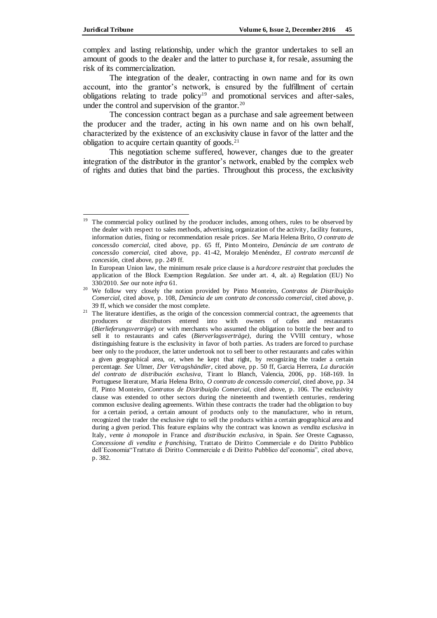complex and lasting relationship, under which the grantor undertakes to sell an amount of goods to the dealer and the latter to purchase it, for resale, assuming the risk of its commercialization.

The integration of the dealer, contracting in own name and for its own account, into the grantor's network, is ensured by the fulfillment of certain obligations relating to trade policy<sup>19</sup> and promotional services and after-sales, under the control and supervision of the grantor. $20$ 

The concession contract began as a purchase and sale agreement between the producer and the trader, acting in his own name and on his own behalf, characterized by the existence of an exclusivity clause in favor of the latter and the obligation to acquire certain quantity of goods. $21$ 

This negotiation scheme suffered, however, changes due to the greater integration of the distributor in the grantor's network, enabled by the complex web of rights and duties that bind the parties. Throughout this process, the exclusivity

 $\overline{\phantom{a}}$ The commercial policy outlined by the producer includes, among others, rules to be observed by the dealer with respect to sales methods, advertising, organization of the activity, facility features, information duties, fixing or recommendation resale prices. *See* Maria Helena Brito, *O contrato de concessão comercial*, cited above, pp. 65 ff, Pinto Monteiro, *Denúncia de um contrato de concessão comercial*, cited above, pp. 41-42, Moralejo Menéndez, *El contrato mercantil de concesión*, cited above, pp. 249 ff.

In European Union law, the minimum resale price clause is a *hardcore restraint* that precludes the application of the Block Exemption Regulation. *See* under art. 4, alt. a) Regulation (EU) No 330/2010. *See* our note *infra* 61.

<sup>20</sup> We follow very closely the notion provided by Pinto Monteiro, *Contratos de Distribuição Comercial*, cited above, p. 108, *Denúncia de um contrato de concessão comercial*, cited above, p. 39 ff, which we consider the most complete.

<sup>&</sup>lt;sup>21</sup> The literature identifies, as the origin of the concession commercial contract, the agreements that producers or distributors entered into with owners of cafes and restaurants (*Bierlieferungsverträge*) or with merchants who assumed the obligation to bottle the beer and to sell it to restaurants and cafes (*Bierverlagsverträge)*, during the VVIII century, whose distinguishing feature is the exclusivity in favor of both parties. As traders are forced to purchase beer only to the producer, the latter undertook not to sell beer to other restaurants and cafes within a given geographical area, or, when he kept that right, by recognizing the trader a certain percentage. *See* Ulmer, *Der Vetragshändler*, cited above, pp. 50 ff, Garcia Herrera, *La duración del contrato de distribución exclusiva,* Tirant lo Blanch, Valencia, 2006, pp. 168-169. In Portuguese literature, Maria Helena Brito, *O contrato de concessão comercial*, cited above, pp. 34 ff, Pinto Monteiro, *Contratos de Distribuição Comercial,* cited above, p. 106. The exclusivity clause was extended to other sectors during the nineteenth and twentieth centuries, rendering common exclusive dealing agreements. Within these contracts the trader had the obligation to buy for a certain period, a certain amount of products only to the manufacturer, who in return, recognized the trader the exclusive right to sell the p roducts within a certain geographical area and during a given period. This feature explains why the contract was known as *vendita esclusiva* in Italy, *vente à monopole* in France and *distribución exclusiva*, in Spain. *See* Oreste Cagnasso, *Concessione di vendita e franchising*, Trattato de Diritto Commerciale e do Diritto Pubblico dell´Economia"Trattato di Diritto Commerciale e di Diritto Pubblico del'economia", cited above, p. 382.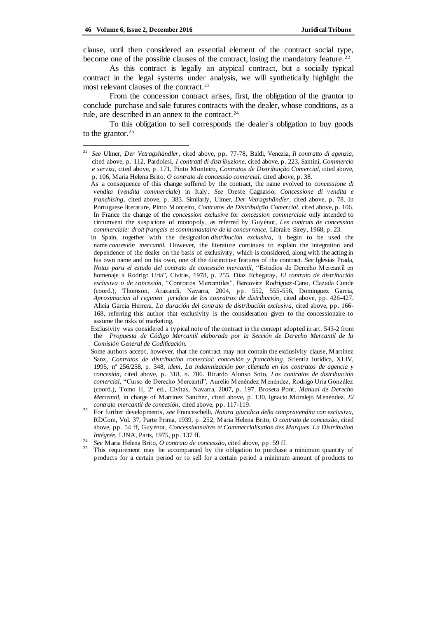j

clause, until then considered an essential element of the contract social type, become one of the possible clauses of the contract, losing the mandatory feature. <sup>22</sup>

As this contract is legally an atypical contract, but a socially typical contract in the legal systems under analysis, we will synthetically highlight the most relevant clauses of the contract.<sup>23</sup>

From the concession contract arises, first, the obligation of the grantor to conclude purchase and sale futures contracts with the dealer, whose conditions, as a rule, are described in an annex to the contract.<sup>24</sup>

To this obligation to sell corresponds the dealer´s obligation to buy goods to the grantor. $25$ 

- In Spain, together with the designation *distribución exclusiva,* it began to be used the name *concesión mercantil.* However, the literature continues to explain the integration and dependence of the dealer on the basis of exclusivity, which is considered, along with the acting in his own name and on his own, one of the distinctive features of the contract. *See* Iglesias Prada, *Notas para el estudo del contrato de concesión mercantil*, "Estudios de Derecho Mercantil en homenaje a Rodrigo Uría"*,* Civitas*,* 1978, p. 255, Díaz Echegaray, *El contrato de distribución exclusiva o de concesión*, "Contratos Mercantiles", Bercovitz Rodriguez-Cano, Clazada Conde (coord.), Thomson, Arazandi, Navarra, 2004, pp. 552, 555-556, Dominguez Garcia, *Aproximacion al regimen juridico de los conratros de distribución*, cited above, pp. 426-427. Alicia Garcia Herrera, *La duración del contrato de distribución exclusiva*, cited above, pp. 166- 168, referring this author that exclusivity is the consideration given to the concessionaire to assume the risks of marketing.
- Exclusivity was considered a typical note of the contract in the concept adopted in art. 543-2 from the *Propuesta de Código Mercantil elaborada por la Sección de Derecho Mercantil de la Comisión General de Codificación.*
- Some authors accept, however, that the contract may not contain the exclusivity clause, Martinez Sanz, *Contratos de distribución comercial: concesión y franchising*, Scientia Iuridica, XLIV, 1995, nº 256/258, p. 348, *idem*, *La indemnización por clientela en los contratos de agencia y concesión*, cited above, p. 318, n. 706. Ricardo Alonso Soto, *Los contratos de distribuición comercial*, "Curso de Derecho Mercantil", Aurelio Menéndez Menéndez, Rodrigo Uría González (coord.), Tomo II, 2ª ed., Civitas, Navarra, 2007, p. 197, Broseta Pont, *Manual de Derecho Mercantil*, in charge of Martinez Sanchez, cited above, p. 130, Ignacio Moralejo Menéndez, *El contrato mercantil de concesión*, cited above, pp. 117-119.
- <sup>23</sup> For further developments, *see* Franceschelli, *Natura giuridica della compravendita con esclusiva,*  RDCom, Vol. 37, Parte Prima, 1939, p. 252, Maria Helena Brito, *O contrato de concessão*, cited above, pp. 54 ff, Guyénot, *Concessionnaires et Commercialisation des Marques. La Distribution Intégrée,* LJNA, Paris, 1975, pp. 137 ff.
- <sup>24</sup> *See* Maria Helena Brito, *O contrato de concessão*, cited above, pp. 59 ff.
- <sup>25</sup> This requirement may be accompanied by the obligation to purchase a minimum quantity of products for a certain period or to sell for a certain period a minimum amount of products to

<sup>22</sup> *See* Ulmer, *Der Vetragshändler*, cited above, pp. 77-78, Baldi, Venezia, *Il contratto di agenzia*, cited above, p. 112, Pardolesi, *I contratti di distribuzione*, cited above, p. 223, Santini, *Commercio e servizi*, cited above, p. 171, Pinto Monteiro, *Contratos de Distribuição Comercial*, cited above, p. 106, Maria Helena Brito, *O contrato de concessão comercial*, cited above, p. 38.

As a consequence of this change suffered by the contract, the name evolved to *concessione di vendita* (*vendita commerciale*) in Italy. *See* Oreste Cagnasso, *Concessione di vendita e franchising,* cited above, p. 383. Similarly, Ulmer, *Der Vetragshändler*, cited above, p. 78. In Portuguese literature, Pinto Monteiro, *Contratos de Distribuição Comercial*, cited above, p. 106. In France the change of the *concession exclusive* for *concession commerciale* only intended to circumvent the suspicions of monopoly, as referred by Guyénot, *Les contrats de concession commerciale: droit français et communautaire de la concurrence*, Libraire Sirey, 1968, p. 23.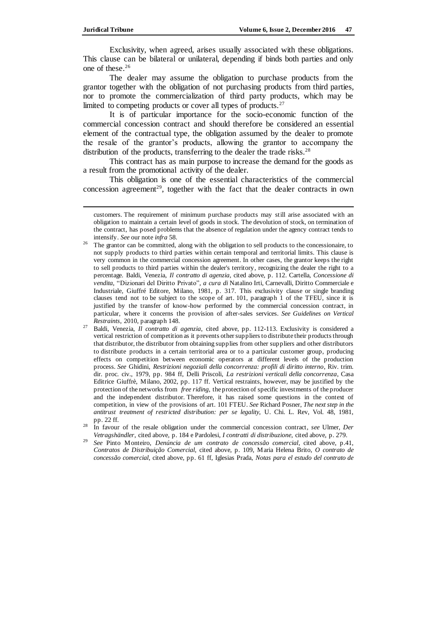Exclusivity, when agreed, arises usually associated with these obligations. This clause can be bilateral or unilateral, depending if binds both parties and only one of these.<sup>26</sup>

The dealer may assume the obligation to purchase products from the grantor together with the obligation of not purchasing products from third parties, nor to promote the commercialization of third party products, which may be limited to competing products or cover all types of products.<sup>27</sup>

It is of particular importance for the socio-economic function of the commercial concession contract and should therefore be considered an essential element of the contractual type, the obligation assumed by the dealer to promote the resale of the grantor's products, allowing the grantor to accompany the distribution of the products, transferring to the dealer the trade risks.<sup>28</sup>

This contract has as main purpose to increase the demand for the goods as a result from the promotional activity of the dealer.

This obligation is one of the essential characteristics of the commercial concession agreement<sup>29</sup>, together with the fact that the dealer contracts in own

customers. The requirement of minimum purchase products may still arise associated with an obligation to maintain a certain level of goods in stock. The devolution of stock, on termination of the contract, has posed problems that the absence of regulation under the agency contract tends to intensify. *See* our note *infra* 58.

<sup>26</sup> The grantor can be committed, along with the obligation to sell products to the concessionaire, to not supply products to third parties within certain temporal and territorial limits. This clause is very common in the commercial concession agreement. In other cases, the grantor keeps the right to sell products to third parties within the dealer's territory, recognizing the dealer the right to a percentage. Baldi, Venezia, *Il contratto di agenzia*, cited above, p. 112. Cartella, *Concessione di vendita,* "Dizionari del Diritto Privato"*, a cura di* Natalino Irti, Carnevalli, Diritto Commerciale e Industriale*,* Giuffré Editore, Milano, 1981, p. 317. This exclusivity clause or single branding clauses tend not to be subject to the scope of art. 101, paragraph 1 of the TFEU, since it is justified by the transfer of know-how performed by the commercial concession contract, in particular, where it concerns the provision of after-sales services. *See Guidelines on Vertical Restraints*, 2010, paragraph 148.

<sup>27</sup> Baldi, Venezia, *Il contratto di agenzia*, cited above, pp. 112-113. Exclusivity is considered a vertical restriction of competition as it prevents other suppliers to distribute their products through that distributor, the distributor from obtaining supplies from other suppliers and other distributors to distribute products in a certain territorial area or to a particular customer group, producing effects on competition between economic operators at different levels of the production process. *See* Ghidini, *Restrizioni negoziali della concorrenza: profili di diritto interno*, Riv. trim. dir. proc. civ., 1979, pp. 984 ff, Delli Priscoli, *La restrizioni verticali della concorrenza*, Casa Editrice Giuffrè, Milano, 2002, pp. 117 ff. Vertical restraints, however, may be justified by the protection of the networks from *free riding*, the protection of specific investments of the producer and the independent distributor. Therefore, it has raised some questions in the context of competition, in view of the provisions of art. 101 FTEU. *See* Richard Posner, *The next step in the antitrust treatment of restricted distribution: per se legality,* U. Chi. L. Rev, Vol. 48, 1981, pp. 22 ff.

<sup>28</sup> In favour of the resale obligation under the commercial concession contract, *see* Ulmer, *Der Vetragshändler*, cited above, p. 184 e Pardolesi, *I contratti di distribuzione*, cited above, p. 279.

<sup>29</sup> *See* Pinto Monteiro, *Denúncia de um contrato de concessão comercial*, cited above, p.41, *Contratos de Distribuição Comercial,* cited above, p. 109, Maria Helena Brito, *O contrato de concessão comercial*, cited above, pp. 61 ff, Iglesias Prada, *Notas para el estudo del contrato de*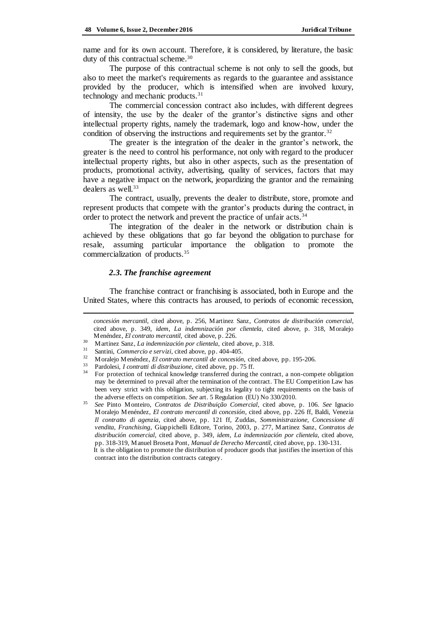name and for its own account. Therefore, it is considered, by literature, the basic duty of this contractual scheme.<sup>30</sup>

The purpose of this contractual scheme is not only to sell the goods, but also to meet the market's requirements as regards to the guarantee and assistance provided by the producer, which is intensified when are involved luxury, technology and mechanic products.<sup>31</sup>

The commercial concession contract also includes, with different degrees of intensity, the use by the dealer of the grantor's distinctive signs and other intellectual property rights, namely the trademark, logo and know-how, under the condition of observing the instructions and requirements set by the grantor.<sup>32</sup>

The greater is the integration of the dealer in the grantor's network, the greater is the need to control his performance, not only with regard to the producer intellectual property rights, but also in other aspects, such as the presentation of products, promotional activity, advertising, quality of services, factors that may have a negative impact on the network, jeopardizing the grantor and the remaining dealers as well.<sup>33</sup>

The contract, usually, prevents the dealer to distribute, store, promote and represent products that compete with the grantor's products during the contract, in order to protect the network and prevent the practice of unfair acts.<sup>34</sup>

The integration of the dealer in the network or distribution chain is achieved by these obligations that go far beyond the obligation to purchase for resale, assuming particular importance the obligation to promote the commercialization of products.<sup>35</sup>

#### *2.3. The franchise agreement*

 $\overline{a}$ 

The franchise contract or franchising is associated, both in Europe and the United States, where this contracts has aroused, to periods of economic recession,

*concesión mercantil*, cited above, p. 256, Martinez Sanz, *Contratos de distribución comercial*, cited above, p. 349, *idem*, *La indemnización por clientela*, cited above, p. 318, Moralejo Menéndez, *El contrato mercantil*, cited above, p. 226.

<sup>30</sup> Martinez Sanz, *La indemnización por clientela*, cited above, p. 318.

<sup>31</sup> Santini, *Commercio e servizi*, cited above, pp. 404-405.

<sup>32</sup> Moralejo Menéndez, *El contrato mercantil de concesión,* cited above, pp. 195-206*.*

<sup>33</sup> Pardolesi, *I contratti di distribuzione*, cited above, pp. 75 ff.

<sup>34</sup> For protection of technical knowledge transferred during the contract, a non-compete obligation may be determined to prevail after the termination of the contract. The EU Competition Law has been very strict with this obligation, subjecting its legality to tight requirements on the basis of the adverse effects on competition. *See* art. 5 Regulation (EU) No 330/2010.

<sup>35</sup> *See* Pinto Monteiro, *Contratos de Distribuição Comercial*, cited above, p. 106. *See* Ignacio Moralejo Menéndez, *El contrato mercantil di concesión*, cited above, pp. 226 ff, Baldi, Venezia *Il contratto di agenzia*, cited above, pp. 121 ff, Zuddas, *Somministrazione, Concessione di vendita, Franchising*, Giappichelli Editore, Torino, 2003*,* p. 277, Martinez Sanz, *Contratos de distribución comercial*, cited above, p. 349, *idem, La indemnización por clientela,* cited above, pp. 318-319, Manuel Broseta Pont, *Manual de Derecho Mercantil*, cited above, pp. 130-131.

It is the obligation to promote the distribution of producer goods that justifies the insertion of this contract into the distribution contracts category.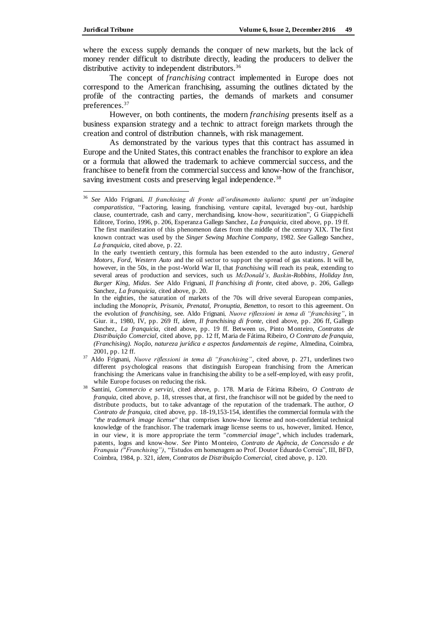where the excess supply demands the conquer of new markets, but the lack of money render difficult to distribute directly, leading the producers to deliver the distributive activity to independent distributors.<sup>36</sup>

The concept of *franchising* contract implemented in Europe does not correspond to the American franchising, assuming the outlines dictated by the profile of the contracting parties, the demands of markets and consumer preferences.<sup>37</sup>

However, on both continents, the modern *franchising* presents itself as a business expansion strategy and a technic to attract foreign markets through the creation and control of distribution channels, with risk management.

As demonstrated by the various types that this contract has assumed in Europe and the United States, this contract enables the franchisor to explore an idea or a formula that allowed the trademark to achieve commercial success, and the franchisee to benefit from the commercial success and know-how of the franchisor, saving investment costs and preserving legal independence*.* 38

<sup>36</sup> *See* Aldo Frignani*, Il franchising di fronte all'ordinamento italiano: spunti per un´indagine comparatistica*, "Factoring, leasing, franchising, venture capital, leveraged buy -out, hardship clause, countertrade, cash and carry, merchandising, know-how, securitization", G Giappichelli Editore, Torino, 1996, p. 206, Esperanza Gallego Sanchez, *La franquicia*, cited above, pp. 19 ff. The first manifestation of this phenomenon dates from the middle of the century XIX. The first known contract was used by the *Singer Sewing Machine Company*, 1982. *See* Gallego Sanchez*, La franquicia*, cited above, p. 22.

In the early twentieth century, this formula has been extended to the auto industry, *General Motors, Ford*, *Western Auto* and the oil sector to support the spread of gas stations. It will be, however, in the 50s, in the post-World War II, that *franchising* will reach its peak, extending to several areas of production and services, such us *McDonald's, Baskin-Robbins, Holiday Inn, Burger King, Midas. See* Aldo Frignani, *Il franchising di fronte*, cited above, p. 206, Gallego Sanchez, *La franquicia*, cited above, p. 20.

In the eighties, the saturation of markets of the 70s will drive several European companies, including the *Monoprix, Prisunix*, *Prenatal, Pronuptia, Benetton*, to resort to this agreement. On the evolution of *franchising,* see. Aldo Frignani*, Nuove riflessioni in tema di "franchising"*, in Giur. it., 1980, IV*,* pp. 269 ff, *idem*, *Il franchising di fronte*, cited above, pp. 206 ff, Gallego Sanchez, *La franquicia*, cited above, pp. 19 ff. Between us, Pinto Monteiro, *Contratos de Distribuição Comercial*, cited above, pp. 12 ff, Maria de Fátima Ribeiro, *O Contrato de franquia, (Franchising). Noção, natureza jurídica e aspectos fundamentais de regime*, Almedina, Coimbra, 2001, pp. 12 ff.

<sup>37</sup> Aldo Frignani, *Nuove riflessioni in tema di "franchising"*, cited above, p. 271, underlines two different psychological reasons that distinguish European franchising from the American franchising: the Americans value in franchising the ability to be a self-employed, with easy profit, while Europe focuses on reducing the risk.

<sup>38</sup> Santini, *Commercio e servizi*, cited above, p. 178. Maria de Fátima Ribeiro, *O Contrato de franquia*, cited above, p. 18, stresses that, at first, the franchisor will not be guided by the need to distribute products, but to take advantage of the reputation of the trademark. The author, *O Contrato de franquia,* cited above, pp. 18-19,153-154, identifies the commercial formula with the *"the trademark image license"* that comprises know-how license and non-confidential technical knowledge of the franchisor. The trademark image license seems to us, however, limited. Hence, in our view, it is more appropriate the term *"commercial image",* which includes trademark, patents, logos and know-how. *See* Pinto Monteiro, *Contrato de Agência, de Concessão e de Franquia ("Franchising")*, "Estudos em homenagem ao Prof. Doutor Eduardo Correia", III, BFD, Coimbra, 1984, p. 321, *idem, Contratos de Distribuição Comercial,* cited above, p. 120.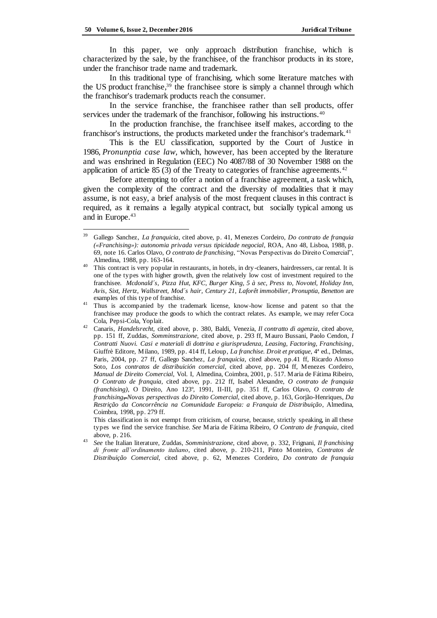In this paper, we only approach distribution franchise, which is characterized by the sale, by the franchisee, of the franchisor products in its store, under the franchisor trade name and trademark.

In this traditional type of franchising, which some literature matches with the US product franchise, <sup>39</sup> the franchisee store is simply a channel through which the franchisor's trademark products reach the consumer.

In the service franchise, the franchisee rather than sell products, offer services under the trademark of the franchisor, following his instructions.<sup>40</sup>

In the production franchise, the franchisee itself makes, according to the franchisor's instructions, the products marketed under the franchisor's trademark.<sup>41</sup>

This is the EU classification, supported by the Court of Justice in 1986, *Pronunptia case law,* which, however, has been accepted by the literature and was enshrined in Regulation (EEC) No 4087/88 of 30 November 1988 on the application of article 85 (3) of the Treaty to categories of franchise agreements.<sup>42</sup>

Before attempting to offer a notion of a franchise agreement, a task which, given the complexity of the contract and the diversity of modalities that it may assume, is not easy, a brief analysis of the most frequent clauses in this contract is required, as it remains a legally atypical contract, but socially typical among us and in Europe.<sup>43</sup>

This classification is not exempt from criticism, of course, because, strictly speaking, in all these types we find the service franchise. *See* Maria de Fátima Ribeiro, *O Contrato de franquia*, cited above, p. 216.

<sup>39</sup> Gallego Sanchez, *La franquicia*, cited above, p. 41, Menezes Cordeiro, *Do contrato de franquia («Franchising»): autonomia privada versus tipicidade negocial*, ROA, Ano 48, Lisboa, 1988, p. 69, note 16. Carlos Olavo, *O contrato de franchising*, "Novas Perspectivas do Direito Comercial", Almedina, 1988, pp. 163-164.

This contract is very popular in restaurants, in hotels, in dry-cleaners, hairdressers, car rental. It is one of the types with higher growth, given the relatively low cost of investment required to the franchisee. *Mcdonald´s, Pizza Hut, KFC, Burger King, 5 à sec, Press to, Novotel, Holiday Inn, Avis, Sixt, Hertz, Wallstreet, Mod´s hair, Century 21, Laforêt immobilier, Pronuptia, Benetton* are examples of this type of franchise.

<sup>&</sup>lt;sup>41</sup> Thus is accompanied by the trademark license, know-how license and patent so that the franchisee may produce the goods to which the contract relates. As example, we may refer Coca Cola, Pepsi-Cola, Yoplait.

<sup>42</sup> Canaris, *Handelsrecht,* cited above, p. 380, Baldi, Venezia, *Il contratto di agenzia*, cited above, pp. 151 ff, Zuddas, *Somminstrazione,* cited above, p. 293 ff, Mauro Bussani, Paolo Cendon, *I Contratti Nuovi. Casi e materiali di dottrina e giurisprudenza, Leasing, Factoring, Franchising*, Giuffrè Editore, Milano, 1989, pp. 414 ff, Leloup, *La franchise. Droit et pratique*, 4ª ed., Delmas, Paris, 2004, pp. 27 ff, Gallego Sanchez, *La franquicia*, cited above, pp.41 ff, Ricardo Alonso Soto, *Los contratos de distribuición comercial*, cited above, pp. 204 ff, Menezes Cordeiro, *Manual de Direito Comercial*, Vol. I, Almedina, Coimbra, 2001, p. 517. Maria de Fátima Ribeiro, *O Contrato de franquia*, cited above, pp. 212 ff, Isabel Alexandre, *O contrato de franquia (franchising)*, O Direito, Ano 123º, 1991, II-III*,* pp. 351 ff, Carlos Olavo, *O contrato de franchising, Novas perspectivas do Direito Comercial*, cited above, p. 163, Gorjão-Henriques, *Da Restrição da Concorrência na Comunidade Europeia: a Franquia de Distribuição*, Almedina, Coimbra, 1998, pp. 279 ff.

<sup>43</sup> *See* the Italian literature, Zuddas, *Somministrazione*, cited above, p. 332, Frignani, *Il franchising di fronte all'ordinamento italiano*, cited above, p. 210-211, Pinto Monteiro, *Contratos de Distribuição Comercial*, cited above, p. 62, Menezes Cordeiro, *Do contrato de franquia*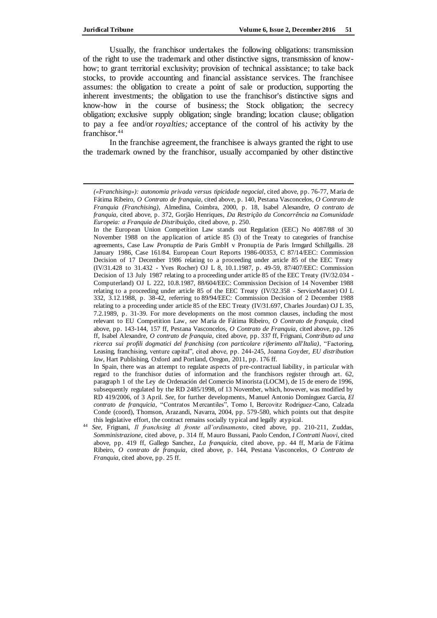Usually, the franchisor undertakes the following obligations: transmission of the right to use the trademark and other distinctive signs, transmission of knowhow; to grant territorial exclusivity; provision of technical assistance; to take back stocks, to provide accounting and financial assistance services. The franchisee assumes: the obligation to create a point of sale or production, supporting the inherent investments; the obligation to use the franchisor's distinctive signs and know-how in the course of business; the Stock obligation; the secrecy obligation; exclusive supply obligation; single branding; location clause; obligation to pay a fee and/or *royalties;* acceptance of the control of his activity by the franchisor.<sup>44</sup>

In the franchise agreement, the franchisee is always granted the right to use the trademark owned by the franchisor, usually accompanied by other distinctive

In the European Union Competition Law stands out Regulation (EEC) No 4087/88 of 30 November 1988 on the application of article 85 (3) of the Treaty to categories of franchise agreements, Case Law *Pronuptia* de Paris GmbH v Pronuptia de Paris Irmgard Schillgallis. 28 January 1986, Case 161/84. European Court Reports 1986-00353, C 87/14/EEC: Commission Decision of 17 December 1986 relating to a proceeding under article 85 of the EEC Treaty (IV/31.428 to 31.432 - Yves Rocher) OJ L 8, 10.1.1987, p. 49-59, 87/407/EEC: Commission Decision of 13 July 1987 relating to a proceeding under article 85 of the EEC Treaty (IV/32.034 -Computerland) OJ L 222, 10.8.1987, 88/604/EEC: Commission Decision of 14 November 1988 relating to a proceeding under article 85 of the EEC Treaty (IV/32.358 - ServiceMaster) OJ L 332, 3.12.1988, p. 38-42, referring to 89/94/EEC: Commission Decision of 2 December 1988 relating to a proceeding under article 85 of the EEC Treaty (IV/31.697, Charles Jourdan) OJ L 35, 7.2.1989, p. 31-39. For more developments on the most common clauses, including the most relevant to EU Competition Law, *see* Maria de Fátima Ribeiro, *O Contrato de franquia*, cited above, pp. 143-144, 157 ff, Pestana Vasconcelos, *O Contrato de Franquia*, cited above, pp. 126 ff, Isabel Alexandre, *O contrato de franquia*, cited above, pp. 337 ff, Frignani, *Contributo ad una ricerca sui profili dogmatici del franchising (con particolare riferimento all'Italia)*, "Factoring, Leasing, franchising, venture capital", cited above, pp. 244-245, Joanna Goyder, *EU distribution law*, Hart Publishing, Oxford and Portland, Oregon, 2011, pp. 176 ff.

In Spain, there was an attempt to regulate aspects of pre-contractual liability, in particular with regard to the franchisor duties of information and the franchisors register through art. 62, paragraph 1 of the Ley de Ordenación del Comercio Minorista (LOCM), de 15 de enero de 1996, subsequently regulated by the RD 2485/1998, of 13 November, which, however, was modified by RD 419/2006, of 3 April. *See*, for further developments, Manuel Antonio Domínguez Garcia, *El contrato de franquicia*, "Contratos Mercantiles", Tomo I, Bercovitz Rodriguez-Cano, Calzada Conde (coord), Thomson, Arazandi, Navarra, 2004, pp. 579-580, which points out that despite this legislative effort, the contract remains socially typical and legally atypical.

*<sup>(«</sup>Franchising»): autonomia privada versus tipicidade negocial*, cited above, pp. 76-77, Maria de Fátima Ribeiro, *O Contrato de franquia*, cited above, p. 140, Pestana Vasconcelos, *O Contrato de Franquia (Franchising)*, Almedina, Coimbra, 2000, p. 18, Isabel Alexandre, *O contrato de franquia*, cited above, p. 372, Gorjão Henriques, *Da Restrição da Concorrência na Comunidade Europeia: a Franquia de Distribuição*, cited above, p. 250.

<sup>44</sup> *See*, Frignani, *Il franchsing di fronte all'ordinamento*, cited above, pp. 210-211, Zuddas, *Somministrazione*, cited above, p. 314 ff, Mauro Bussani, Paolo Cendon, *I Contratti Nuovi*, cited above, pp. 419 ff, Gallego Sanchez, *La franquicia*, cited above, pp. 44 ff, Maria de Fátima Ribeiro, *O contrato de franquia*, cited above, p. 144, Pestana Vasconcelos, *O Contrato de Franquia*, cited above, pp. 25 ff.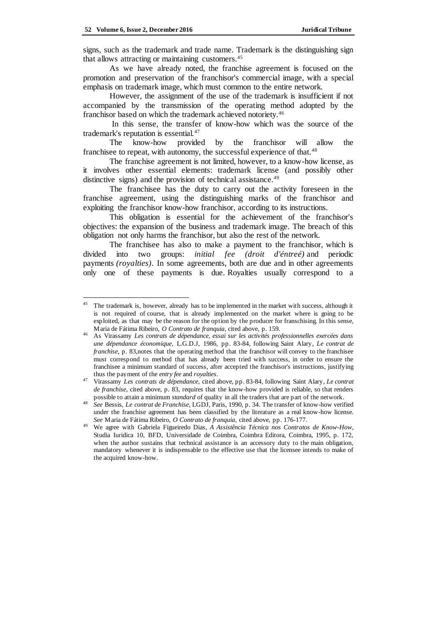signs, such as the trademark and trade name. Trademark is the distinguishing sign that allows attracting or maintaining customers.<sup>45</sup>

As we have already noted, the franchise agreement is focused on the promotion and preservation of the franchisor's commercial image, with a special emphasis on trademark image, which must common to the entire network.

However, the assignment of the use of the trademark is insufficient if not accompanied by the transmission of the operating method adopted by the franchisor based on which the trademark achieved notoriety.<sup>46</sup>

In this sense, the transfer of know-how which was the source of the trademark's reputation is essential.<sup>47</sup>

The know-how provided by the franchisor will allow the franchisee to repeat, with autonomy, the successful experience of that.<sup>48</sup>

The franchise agreement is not limited, however, to a know-how license, as it involves other essential elements: trademark license (and possibly other distinctive signs) and the provision of technical assistance.<sup>49</sup>

The franchisee has the duty to carry out the activity foreseen in the franchise agreement, using the distinguishing marks of the franchisor and exploiting the franchisor know-how franchisor, according to its instructions.

This obligation is essential for the achievement of the franchisor's objectives: the expansion of the business and trademark image. The breach of this obligation not only harms the franchisor, but also the rest of the network.

The franchisee has also to make a payment to the franchisor, which is divided into two groups: *initial fee (droit d'éntreé)* and periodic payments *(royalties)*. In some agreements, both are due and in other agreements only one of these payments is due. Royalties usually correspond to a

<sup>&</sup>lt;sup>45</sup> The trademark is, however, already has to be implemented in the market with success, although it is not required of course, that is already implemented on the market where is going to be exploited, as that may be the reason for the option by the producer for franschising. In this sense, Maria de Fátima Ribeiro, *O Contrato de franquia*, cited above, p. 159.

<sup>46</sup> As Virassamy *Les contrats de dépendance, essai sur les activités professionnelles exercées dans une dépendance économique*, L.G.D.J, 1986, pp. 83-84, following Saint Alary, *Le contrat de franchise*, p. 83,notes that the operating method that the franchisor will convey to the franchisee must correspond to method that has already been tried with success, in order to ensure the franchisee a minimum standard of success, after accepted the franchisor's instructions, justifying thus the payment of the *entry fee* and *royalties*.

<sup>47</sup> Virassamy *Les contrats de dépendance*, cited above, pp. 83-84, following Saint Alary, *Le contrat de franchise*, cited above, p. 83, requires that the know-how provided is reliable, so that renders possible to attain a minimum *standard* of quality in all the traders that are part of the network.

<sup>48</sup> *See* Bessis, *Le contrat de Franchise*, LGDJ, Paris, 1990, p. 34. The transfer of know-how verified under the franchise agreement has been classified by the literature as a real know-how license. *See* Maria de Fátima Ribeiro, *O Contrato de franquia*, cited above, pp. 176-177.

<sup>49</sup> We agree with Gabriela Figueiredo Dias*, A Assistência Técnica nos Contratos de Know-How*, Studia Iuridica 10, BFD, Universidade de Coimbra, Coimbra Editora, Coimbra, 1995, p. 172, when the author sustains that technical assistance is an accessory duty to the main obligation, mandatory whenever it is indispensable to the effective use that the licensee intends to make of the acquired know-how.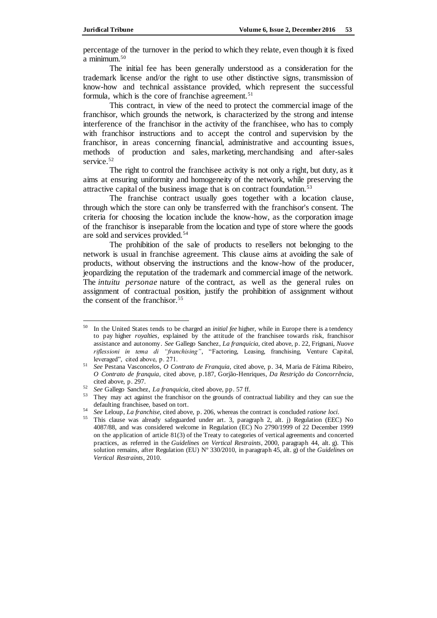percentage of the turnover in the period to which they relate, even though it is fixed a minimum.<sup>50</sup>

The initial fee has been generally understood as a consideration for the trademark license and/or the right to use other distinctive signs, transmission of know-how and technical assistance provided, which represent the successful formula, which is the core of franchise agreement.<sup>51</sup>

This contract, in view of the need to protect the commercial image of the franchisor, which grounds the network, is characterized by the strong and intense interference of the franchisor in the activity of the franchisee, who has to comply with franchisor instructions and to accept the control and supervision by the franchisor, in areas concerning financial, administrative and accounting issues, methods of production and sales, marketing, merchandising and after-sales service.<sup>52</sup>

The right to control the franchisee activity is not only a right, but duty, as it aims at ensuring uniformity and homogeneity of the network, while preserving the attractive capital of the business image that is on contract foundation.<sup>53</sup>

The franchise contract usually goes together with a location clause, through which the store can only be transferred with the franchisor's consent. The criteria for choosing the location include the know-how, as the corporation image of the franchisor is inseparable from the location and type of store where the goods are sold and services provided.<sup>54</sup>

The prohibition of the sale of products to resellers not belonging to the network is usual in franchise agreement. This clause aims at avoiding the sale of products, without observing the instructions and the know-how of the producer, jeopardizing the reputation of the trademark and commercial image of the network. The *intuitu personae* nature of the contract, as well as the general rules on assignment of contractual position, justify the prohibition of assignment without the consent of the franchisor.<sup>55</sup>

<sup>50</sup> In the United States tends to be charged an *initial fee* higher, while in Europe there is a tendency to pay higher *royalties*, explained by the attitude of the franchisee towards risk, franchisor assistance and autonomy. *See* Gallego Sanchez, *La franquicia*, cited above, p. 22, Frignani, *Nuove riflessioni in tema di "franchising"*, "Factoring, Leasing, franchising, Venture Capital, leveraged", cited above, p. 271.

<sup>51</sup> *See* Pestana Vasconcelos, *O Contrato de Franquia*, cited above, p. 34, Maria de Fátima Ribeiro, *O Contrato de franquia*, cited above, p.187, Gorjão-Henriques, *Da Restrição da Concorrência*, cited above, p. 297.

<sup>52</sup> *See* Gallego Sanchez, *La franquicia*, cited above, pp. 57 ff.

<sup>53</sup> They may act against the franchisor on the grounds of contractual liability and they can sue the defaulting franchisee, based on tort.

<sup>54</sup> *See* Leloup, *La franchise*, cited above, p. 206, whereas the contract is concluded *ratione loci*.

<sup>55</sup> This clause was already safeguarded under art. 3, paragraph 2, alt. j) Regulation (EEC) No 4087/88, and was considered welcome in Regulation (EC) No 2790/1999 of 22 December 1999 on the application of article 81(3) of the Treaty to categories of vertical agreements and concerted practices, as referred in the *Guidelines on Vertical Restraints,* 2000, paragraph 44, alt. g). This solution remains, after Regulation (EU) Nº 330/2010, in paragraph 45, alt. g) of the *Guidelines on Vertical Restraints*, 2010.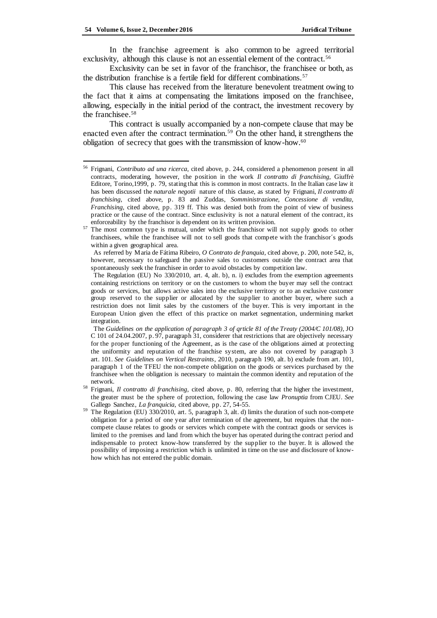In the franchise agreement is also common to be agreed territorial exclusivity, although this clause is not an essential element of the contract.<sup>56</sup>

Exclusivity can be set in favor of the franchisor, the franchisee or both, as the distribution franchise is a fertile field for different combinations.<sup>57</sup>

This clause has received from the literature benevolent treatment owing to the fact that it aims at compensating the limitations imposed on the franchisee, allowing, especially in the initial period of the contract, the investment recovery by the franchisee.<sup>58</sup>

This contract is usually accompanied by a non-compete clause that may be enacted even after the contract termination.<sup>59</sup> On the other hand, it strengthens the obligation of secrecy that goes with the transmission of know-how.<sup>60</sup>

As referred by Maria de Fátima Ribeiro, *O Contrato de franquia*, cited above, p. 200, note 542, is, however, necessary to safeguard the passive sales to customers outside the contract area that spontaneously seek the franchisee in order to avoid obstacles by competition law.

The Regulation (EU) No 330/2010, art. 4, alt. b), n. i) excludes from the exemption agreements containing restrictions on territory or on the customers to whom the buyer may sell the contract goods or services, but allows active sales into the exclusive territory or to an exclusive customer group reserved to the supplier or allocated by the supplier to another buyer, where such a restriction does not limit sales by the customers of the buyer. This is very important in the European Union given the effect of this practice on market segmentation, undermining market integration.

The *Guidelines on the application of paragraph 3 of qrticle 81 of the Treaty (2004/C 101/08)*, JO C 101 of 24.04.2007, p. 97, paragraph 31, considerer that restrictions that are objectively necessary for the proper functioning of the Agreement, as is the case of the obligations aimed at protecting the uniformity and reputation of the franchise system, are also not covered by paragraph 3 art. 101. *See Guidelines on Vertical Restraints*, 2010, paragraph 190, alt. b) exclude from art. 101, paragraph 1 of the TFEU the non-compete obligation on the goods or services purchased by the franchisee when the obligation is necessary to maintain the common identity and reputation of the network.

<sup>56</sup> Frignani, *Contributo ad una ricerca*, cited above, p. 244, considered a phenomenon present in all contracts, moderating, however, the position in the work *Il contratto di franchising,* Giuffrè Editore, Torino,1999, p. 79, stating that this is common in most contracts. In the Italian case law it has been discussed the *naturale negotii* nature of this clause, as stated by Frignani, *Il contratto di franchising*, cited above, p. 83 and Zuddas, *Somministrazione, Concessione di vendita, Franchising,* cited above, pp. 319 ff. This was denied both from the point of view of business practice or the cause of the contract. Since exclusivity is not a natural element of the contract, its enforceability by the franchisor is dependent on its written provision.

 $\frac{57}{2}$  The most common type is mutual, under which the franchisor will not supply goods to other franchisees, while the franchisee will not to sell goods that compete with the franchisor´s goods within a given geographical area.

<sup>58</sup> Frignani, *Il contratto di franchising*, cited above, p. 80, referring that the higher the investment, the greater must be the sphere of protection, following the case law *Pronuptia* from CJEU. *See*  Gallego Sanchez, *La franquicia*, cited above, pp. 27, 54-55.

The Regulation (EU) 330/2010, art. 5, paragraph 3, alt. d) limits the duration of such non-compete obligation for a period of one year after termination of the agreement, but requires that the noncompete clause relates to goods or services which compete with the contract goods or services is limited to the premises and land from which the buyer has operated during the contract period and indispensable to protect know-how transferred by the supplier to the buyer. It is allowed the possibility of imposing a restriction which is unlimited in time on the use and disclosure of knowhow which has not entered the public domain.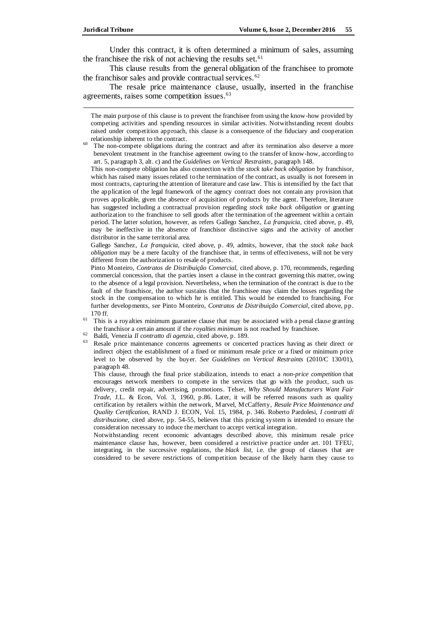j

Under this contract, it is often determined a minimum of sales, assuming the franchisee the risk of not achieving the results set.<sup>61</sup>

This clause results from the general obligation of the franchisee to promote the franchisor sales and provide contractual services.<sup>62</sup>

The resale price maintenance clause, usually, inserted in the franchise agreements, raises some competition issues.<sup>63</sup>

The main purpose of this clause is to prevent the franchisee from using the know-how provided by competing activities and spending resources in similar activities. Notwithstanding recent doubts raised under competition approach, this clause is a consequence of the fiduciary and cooperation relationship inherent to the contract.

<sup>60</sup> The non-compete obligations during the contract and after its termination also deserve a more benevolent treatment in the franchise agreement owing to the transfer of know-how, according to art. 5, paragraph 3, alt. c) and the *Guidelines on Vertical Restraints*, paragraph 148.

This non-compete obligation has also connection with the *stock take back obligation* by franchisor, which has raised many issues related to the termination of the contract, as usually is not foreseen in most contracts, capturing the attention of literature and case law. This is intensified by the fact that the application of the legal framework of the agency contract does not contain any provision that proves applicable, given the absence of acquisition of products by the agent. Therefore, literature has suggested including a contractual provision regarding *stock take back obligation* or granting authorization to the franchisee to sell goods after the termination of the agreement within a certain period. The latter solution, however, as refers Gallego Sanchez, *La franquicia*, cited above, p. 49, may be ineffective in the absence of franchisor distinctive signs and the activity of another distributor in the same territorial area.

Gallego Sanchez, *La franquicia*, cited above, p. 49, admits, however, that the *stock take back obligation* may be a mere faculty of the franchisee that, in terms of effectiveness, will not be very different from the authorization to resale of products.

Pinto Monteiro, *Contratos de Distribuição Comercial,* cited above, p. 170, recommends, regarding commercial concession, that the parties insert a clause in the contract governing this matter, owing to the absence of a legal provision. Nevertheless, when the termination of the contract is due to the fault of the franchisor, the author sustains that the franchisee may claim the losses regarding the stock in the compensation to which he is entitled. This would be extended to franchising. For further developments, *see* Pinto Monteiro, *Contratos de Distribuição Comercial*, cited above, pp. 170 ff.

 $61$  This is a royalties minimum guarantee clause that may be associated with a penal clause granting the franchisor a certain amount if the *royalties minimum* is not reached by franchisee.

Resale price maintenance concerns agreements or concerted practices having as their direct or indirect object the establishment of a fixed or minimum resale price or a fixed or minimum price level to be observed by the buyer. *See Guidelines on Vertical Restraints* (2010/C 130/01), paragraph 48.

This clause, through the final price stabilization, intends to enact a *non-price competition* that encourages network members to compete in the services that go with the product, such us delivery, credit repair, advertising, promotions. Telser, *Why Should Manufacturers Want Fair Trade*, J.L. & Econ, Vol. 3, 1960, p.86. Later, it will be referred reasons such as quality certification by retailers within the network, Marvel, McCafferty, *Resale Price Maintenance and Quality Certification,* RAND J. ECON, Vol. 15, 1984, p. 346. Roberto Pardolesi, *I contratti di distribuzione*, cited above, pp. 54-55, believes that this pricing system is intended to ensure the consideration necessary to induce the merchant to accept vertical integration.

Notwithstanding recent economic advantages described above, this minimum resale price maintenance clause has, however, been considered a restrictive practice under art. 101 TFEU, integrating, in the successive regulations, the *black list*, i.e. the group of clauses that are considered to be severe restrictions of competition because of the likely harm they cause to

<sup>62</sup> Baldi, Venezia *Il contratto di agenzia*, cited above, p. 189.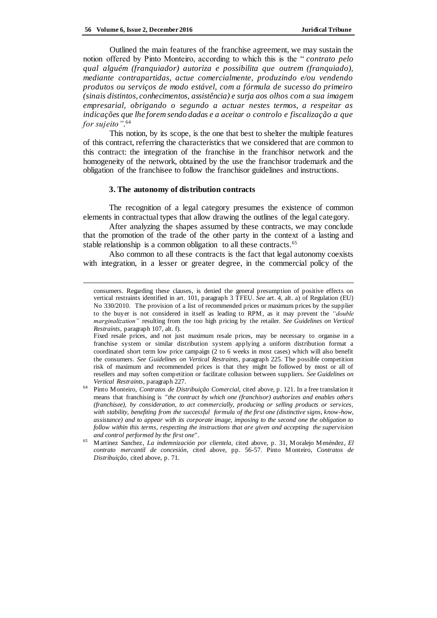Outlined the main features of the franchise agreement, we may sustain the notion offered by Pinto Monteiro, according to which this is the " *contrato pelo qual alguém (franquiador) autoriza e possibilita que outrem (franquiado), mediante contrapartidas, actue comercialmente, produzindo e/ou vendendo produtos ou serviços de modo estável, com a fórmula de sucesso do primeiro (sinais distintos, conhecimentos, assistência) e surja aos olhos com a sua imagem empresarial, obrigando o segundo a actuar nestes termos, a respeitar as indicações que lhe forem sendo dadas e a aceitar o controlo e fiscalização a que for sujeito"*. 64

This notion, by its scope, is the one that best to shelter the multiple features of this contract, referring the characteristics that we considered that are common to this contract: the integration of the franchise in the franchisor network and the homogeneity of the network, obtained by the use the franchisor trademark and the obligation of the franchisee to follow the franchisor guidelines and instructions.

#### **3. The autonomy of distribution contracts**

The recognition of a legal category presumes the existence of common elements in contractual types that allow drawing the outlines of the legal category.

After analyzing the shapes assumed by these contracts, we may conclude that the promotion of the trade of the other party in the context of a lasting and stable relationship is a common obligation to all these contracts.<sup>65</sup>

Also common to all these contracts is the fact that legal autonomy coexists with integration, in a lesser or greater degree, in the commercial policy of the

Fixed resale prices, and not just maximum resale prices, may be necessary to organise in a franchise system or similar distribution system applying a uniform distribution format a coordinated short term low price campaign (2 to 6 weeks in most cases) which will also benefit the consumers. *See Guidelines on Vertical Restraints*, paragraph 225. The possible competition risk of maximum and recommended prices is that they might be followed by most or all of resellers and may soften competition or facilitate collusion between suppliers. *See Guidelines on Vertical Restraints*, paragraph 227.

consumers. Regarding these clauses, is denied the general presumption of positive effects on vertical restraints identified in art. 101, paragraph 3 TFEU. *See* art. 4, alt. a) of Regulation (EU) No 330/2010. The provision of a list of recommended prices or maximum prices by the supplier to the buyer is not considered in itself as leading to RPM, as it may prevent the *"double marginalization"* resulting from the too high pricing by the retailer. *See Guidelines on Vertical Restraints*, paragraph 107, alt. f).

<sup>64</sup> Pinto Monteiro, *Contratos de Distribuição Comercial*, cited above, p. 121. In a free translation it means that franchising is *"the contract by which one (franchisor) authorizes and enables others (franchisee), by consideration, to act commercially, producing or selling products or services, with stability, benefiting from the successful formula of the first one (distinctive signs, know-how, assistance) and to appear with its corporate image, imposing to the second one the obligation to follow within this terms, respecting the instructions that are given and accepting the supervision and control performed by the first one"* .

<sup>65</sup> Martinez Sanchez, *La indemnización por clientela*, cited above, p. 31, Moralejo Menéndez, *El contrato mercantil de concesión*, cited above, pp. 56-57. Pinto Monteiro, *Contratos de Distribuição*, cited above, p. 71.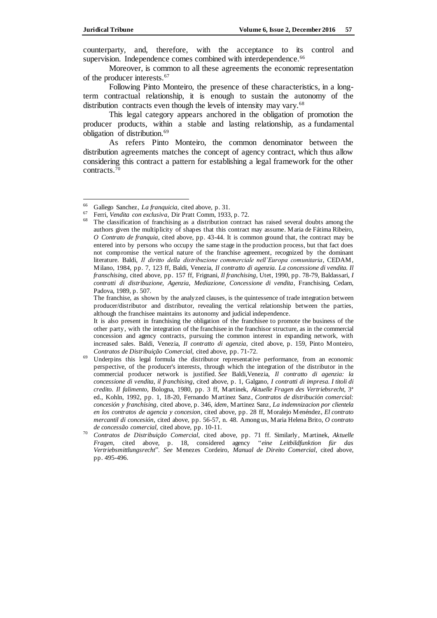counterparty, and, therefore, with the acceptance to its control and supervision. Independence comes combined with interdependence.<sup>66</sup>

Moreover, is common to all these agreements the economic representation of the producer interests.<sup>67</sup>

Following Pinto Monteiro, the presence of these characteristics, in a longterm contractual relationship, it is enough to sustain the autonomy of the distribution contracts even though the levels of intensity may vary.<sup>68</sup>

This legal category appears anchored in the obligation of promotion the producer products, within a stable and lasting relationship, as a fundamental obligation of distribution.<sup>69</sup>

As refers Pinto Monteiro, the common denominator between the distribution agreements matches the concept of agency contract, which thus allow considering this contract a pattern for establishing a legal framework for the other contracts.<sup>70</sup>

<sup>66</sup> <sup>66</sup> Gallego Sanchez, *La franquicia*, cited above, p. 31.

<sup>67</sup> Ferri, *Vendita con exclusiva*, Dir Pratt Comm, 1933, p. 72.

The classification of franchising as a distribution contract has raised several doubts among the authors given the multiplicity of shapes that this contract may assume. Maria de Fátima Ribeiro, *O Contrato de franquia*, cited above, pp. 43-44. It is common ground that, the contract may be entered into by persons who occupy the same stage in the production process, but that fact does not compromise the vertical nature of the franchise agreement, recognized by the dominant literature. Baldi, *Il diritto della distribuzione commerciale nell'Europa comunitaria*, CEDAM, Milano, 1984, pp. 7, 123 ff, Baldi, Venezia, *Il contratto di agenzia. La concessione di vendita. Il franschising*, cited above, pp. 157 ff, Frignani, *Il franchising*, Utet, 1990, pp. 78-79, Baldassari, *I contratti di distribuzione, Agenzia, Mediazione, Concessione di vendita*, Franchising, Cedam, Padova, 1989, p. 507.

The franchise, as shown by the analyzed clauses, is the quintessence of trade integration between producer/distributor and distributor, revealing the vertical relationship between the parties, although the franchisee maintains its autonomy and judicial independence.

It is also present in franchising the obligation of the franchisee to promote the business of the other party, with the integration of the franchisee in the franchisor structure, as in the commercial concession and agency contracts, pursuing the common interest in expanding network, with increased sales. Baldi, Venezia, *Il contratto di agenzia*, cited above, p. 159, Pinto Monteiro, *Contratos de Distribuição Comercial*, cited above, pp. 71-72.

Underpins this legal formula the distributor representative performance, from an economic perspective, of the producer's interests, through which the integration of the distributor in the commercial producer network is justified*. See* Baldi,Venezia, *Il contratto di agenzia: la concessione di vendita, il franchising*, cited above, p. 1, Galgano, *I contratti di impresa. I titoli di credito. Il falimento*, Bologna, 1980, pp. 3 ff, Martinek, *Aktuelle Fragen des Vertriebsrecht,* 3ª ed., Kohln, 1992, pp. 1, 18-20, Fernando Martinez Sanz*, Contratos de distribución comercial: concesión y franchising*, cited above, p. 346, *idem*, Martinez Sanz*, La indemnizacion por clientela en los contratos de agencia y concesion*, cited above, pp. 28 ff, Moralejo Menéndez, *El contrato mercantil di concesión*, cited above, pp. 56-57, n. 48. Among us, Maria Helena Brito, *O contrato de concessão comercial,* cited above, pp. 10-11.

<sup>70</sup> *Contratos de Distribuição Comercial*, cited above, pp. 71 ff. Similarly, Martinek, *Aktuelle Fragen,* cited above, p. 18, considered agency "*eine Leitbildfunktion für das Vertriebsmittlungsrecht*". *See* Menezes Cordeiro, *Manual de Direito Comercial*, cited above, pp. 495-496.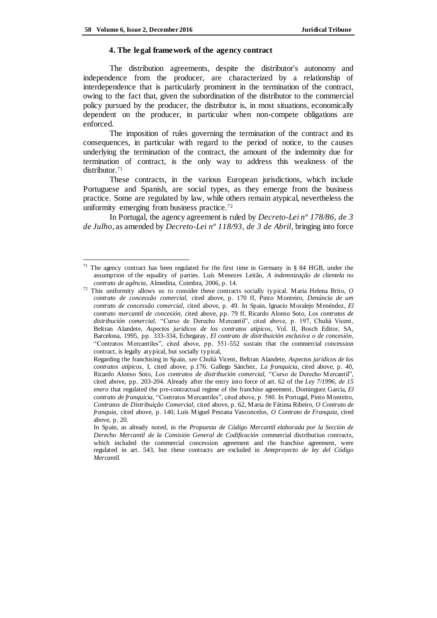#### **4. The legal framework of the agency contract**

The distribution agreements, despite the distributor's autonomy and independence from the producer, are characterized by a relationship of interdependence that is particularly prominent in the termination of the contract, owing to the fact that, given the subordination of the distributor to the commercial policy pursued by the producer, the distributor is, in most situations, economically dependent on the producer, in particular when non-compete obligations are enforced.

The imposition of rules governing the termination of the contract and its consequences, in particular with regard to the period of notice, to the causes underlying the termination of the contract, the amount of the indemnity due for termination of contract, is the only way to address this weakness of the distributor.<sup>71</sup>

These contracts, in the various European jurisdictions, which include Portuguese and Spanish, are social types, as they emerge from the business practice. Some are regulated by law, while others remain atypical, nevertheless the uniformity emerging from business practice.<sup>72</sup>

In Portugal, the agency agreement is ruled by *Decreto-Lei nº 178/86, de 3 de Julho*, as amended by *Decreto-Lei nº 118/93, de 3 de Abril*, bringing into force

<sup>&</sup>lt;sup>71</sup> The agency contract has been regulated for the first time in Germany in § 84 HGB, under the assumption of the equality of parties. Luís Menezes Leitão, *A indemnização de clientela no contrato de agência*, Almedina, Coimbra, 2006, p. 14.

<sup>72</sup> This uniformity allows us to consider these contracts socially typical. Maria Helena Brito, *O contrato de concessão comercial,* cited above, p. 170 ff, Pinto Monteiro, *Denúncia de um contrato de concessão comercial,* cited above, p. 49. In Spain, Ignacio Moralejo Menéndez, *El contrato mercantil de concesión*, cited above, pp. 79 ff, Ricardo Alonso Soto, *Los contratos de distribución comercial*, "Curso de Derecho Mercantil", cited above, p. 197, Chulià Vicent, Beltran Alandete, *Aspectos juridicos de los contratos atípicos*, Vol. II, Bosch Editor, SA, Barcelona, 1995, pp. 333-334, Echegaray, *El contrato de distribuición exclusiva o de concesión*, "Contratos Mercantiles", cited above, pp. 551-552 sustain that the commercial concession contract, is legally atypical, but socially typical,

Regarding the franchising in Spain, *see* Chulià Vicent, Beltran Alandete, *Aspectos juridicos de los contratos atípicos*, I, cited above, p.176. Gallego Sánchez, *La franquicia*, cited above, p. 40, Ricardo Alonso Soto, *Los contratos de distribución comercial,* "Curso de Derecho Mercantil", cited above, pp. 203-204. Already after the entry into force of art. 62 of the *Ley 7/1996, de 15 enero* that regulated the pre-contractual regime of the franchise agreement, Dominguez Garcia, *El contrato de franquicia*, "Contratos Mercantiles", cited above, p. 580. In Portugal, Pinto Monteiro, *Contratos de Distribuição Comercial*, cited above, p. 62, Maria de Fátima Ribeiro, *O Contrato de franquia*, cited above, p. 140, Luís Miguel Pestana Vasconcelos, *O Contrato de Franquia*, cited above, p. 20.

In Spain, as already noted, in the *Propuesta de Código Mercantil elaborada por la Sección de Derecho Mercantil de la Comisión General de Codificación* commercial distribution contracts, which included the commercial concession agreement and the franchise agreement, were regulated in art. 543, but these contracts are excluded in *Anteproyecto de ley del Código Mercantil.*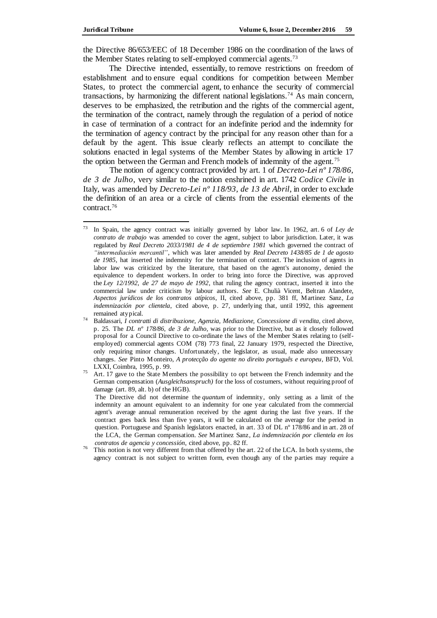the Directive 86/653/EEC of 18 December 1986 on the coordination of the laws of the Member States relating to self-employed commercial agents.<sup>73</sup>

The Directive intended, essentially, to remove restrictions on freedom of establishment and to ensure equal conditions for competition between Member States, to protect the commercial agent, to enhance the security of commercial transactions, by harmonizing the different national legislations.<sup>74</sup> As main concern, deserves to be emphasized, the retribution and the rights of the commercial agent, the termination of the contract, namely through the regulation of a period of notice in case of termination of a contract for an indefinite period and the indemnity for the termination of agency contract by the principal for any reason other than for a default by the agent. This issue clearly reflects an attempt to conciliate the solutions enacted in legal systems of the Member States by allowing in article 17 the option between the German and French models of indemnity of the agent.<sup>75</sup>

The notion of agency contract provided by art. 1 of *Decreto-Lei nº 178/86, de 3 de Julho*, very similar to the notion enshrined in art. 1742 *Codice Civile* in Italy, was amended by *Decreto-Lei nº 118/93, de 13 de Abril*, in order to exclude the definition of an area or a circle of clients from the essential elements of the contract. 76

<sup>73</sup> <sup>73</sup> In Spain, the agency contract was initially governed by labor law. In 1962, art. 6 of *Ley de contrato de trabajo* was amended to cover the agent, subject to labor jurisdiction. Later, it was regulated by *Real Decreto 2033/1981 de 4 de septiembre 1981* which governed the contract of *"intermediación mercantil"*, which was later amended by *Real Decreto 1438/85 de 1 de agosto de 1985*, hat inserted the indemnity for the termination of contract. The inclusion of agents in labor law was criticized by the literature, that based on the agent's autonomy, denied the equivalence to dependent workers. In order to bring into force the Directive, was approved the *Ley 12/1992, de 27 de mayo de 1992*, that ruling the agency contract, inserted it into the commercial law under criticism by labour authors. *See* E. Chulià Vicent, Beltran Alandete, *Aspectos jurídicos de los contratos atípicos*, II, cited above, pp. 381 ff, Martinez Sanz, *La indemnización por clientela*, cited above, p. 27, underlying that, until 1992, this agreement remained atypical.

<sup>74</sup> Baldassari, *I contratti di distribuzione, Agenzia, Mediazione, Concessione di vendita,* cited above, p. 25. The *DL nº 178/86, de 3 de Julho*, was prior to the Directive, but as it closely followed proposal for a Council Directive to co-ordinate the laws of the Member States relating to (selfemployed) commercial agents COM (78) 773 final, 22 January 1979, respected the Directive, only requiring minor changes. Unfortunately, the legislator, as usual, made also unnecessary changes. *See* Pinto Monteiro, *A protecção do agente no direito português e europeu*, BFD, Vol. LXXI, Coimbra, 1995, p. 99.

 $75$  Art. 17 gave to the State Members the possibility to opt between the French indemnity and the German compensation (*Ausgleichsanspruch)* for the loss of costumers, without requiring proof of damage (art. 89, alt. b) of the HGB).

The Directive did not determine the *quantum* of indemnity, only setting as a limit of the indemnity an amount equivalent to an indemnity for one year calculated from the commercial agent's average annual remuneration received by the agent during the last five years. If the contract goes back less than five years, it will be calculated on the average for the period in question. Portuguese and Spanish legislators enacted, in art. 33 of DL nº 178/86 and in art. 28 of the LCA, the German compensation. *See* Martinez Sanz*, La indemnización por clientela en los contratos de agencia y concessión*, cited above, pp. 82 ff.

<sup>76</sup> This notion is not very different from that offered by the art. 22 of the LCA. In both systems, the agency contract is not subject to written form, even though any of the parties may require a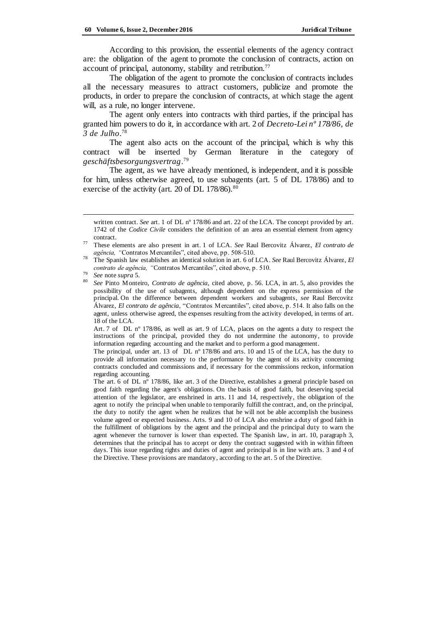According to this provision, the essential elements of the agency contract are: the obligation of the agent to promote the conclusion of contracts, action on account of principal, autonomy, stability and retribution.<sup>77</sup>

The obligation of the agent to promote the conclusion of contracts includes all the necessary measures to attract customers, publicize and promote the products, in order to prepare the conclusion of contracts, at which stage the agent will, as a rule, no longer intervene.

The agent only enters into contracts with third parties, if the principal has granted him powers to do it, in accordance with art. 2 of *Decreto-Lei nº 178/86, de 3 de Julho*. 78

The agent also acts on the account of the principal, which is why this contract will be inserted by German literature in the category of *geschäftsbesorgungsvertrag*. 79

The agent, as we have already mentioned, is independent, and it is possible for him, unless otherwise agreed, to use subagents (art. 5 of DL 178/86) and to exercise of the activity (art. 20 of DL  $178/86$ ).<sup>80</sup>

 $\overline{a}$ 

Art. 7 of DL nº 178/86, as well as art. 9 of LCA, places on the agents a duty to respect the instructions of the principal, provided they do not undermine the autonomy, to provide information regarding accounting and the market and to perform a good management.

The principal, under art. 13 of DL nº 178/86 and arts. 10 and 15 of the LCA, has the duty to provide all information necessary to the performance by the agent of its activity concerning contracts concluded and commissions and, if necessary for the commissions reckon, information regarding accounting.

The art. 6 of DL nº 178/86, like art. 3 of the Directive, establishes a general principle based on good faith regarding the agent's obligations. On the basis of good faith, but deserving special attention of the legislator, are enshrined in arts. 11 and 14, respectively, the obligation of the agent to notify the principal when unable to temporarily fulfill the contract, and, on the principal, the duty to notify the agent when he realizes that he will not be able accomplish the business volume agreed or expected business. Arts. 9 and 10 of LCA also enshrine a duty of good faith in the fulfillment of obligations by the agent and the principal and the principal duty to warn the agent whenever the turnover is lower than expected. The Spanish law, in art. 10, paragraph 3, determines that the principal has to accept or deny the contract suggested with in within fifteen days. This issue regarding rights and duties of agent and principal is in line with arts. 3 and 4 of the Directive. These provisions are mandatory, according to the art. 5 of the Directive.

written contract. *See* art. 1 of DL n° 178/86 and art. 22 of the LCA. The concept provided by art. 1742 of the *Codice Civile* considers the definition of an area an essential element from agency contract.

<sup>77</sup> These elements are also present in art. 1 of LCA. *See* Raul Bercovitz Álvarez, *El contrato de agência, "*Contratos Mercantiles", cited above, pp. 508-510.

<sup>78</sup> The Spanish law establishes an identical solution in art. 6 of LCA. *See* Raul Bercovitz Álvarez, *El contrato de agência, "*Contratos Mercantiles", cited above, p. 510.

<sup>79</sup> *See* note *supra* 5.

<sup>80</sup> *See* Pinto Monteiro, *Contrato de agência*, cited above, p. 56. LCA, in art. 5, also provides the possibility of the use of subagents, although dependent on the express permission of the principal. On the difference between dependent workers and subagents, *see* Raul Bercovitz Álvarez, *El contrato de agência*, "Contratos Mercantiles", cited above, p. 514. It also falls on the agent, unless otherwise agreed, the expenses resulting from the activity developed, in terms of art. 18 of the LCA.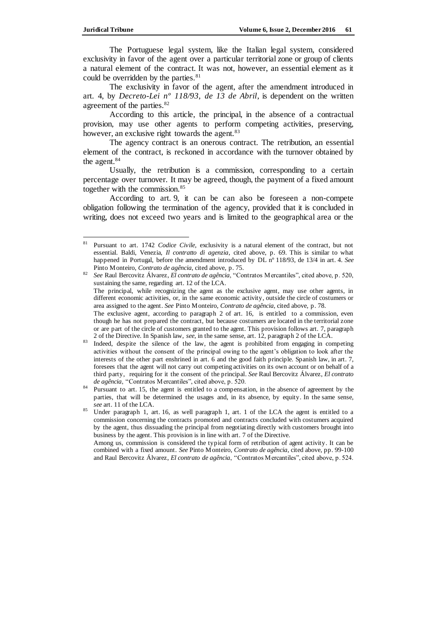The Portuguese legal system, like the Italian legal system, considered exclusivity in favor of the agent over a particular territorial zone or group of clients a natural element of the contract. It was not, however, an essential element as it could be overridden by the parties.<sup>81</sup>

The exclusivity in favor of the agent, after the amendment introduced in art. 4, by *Decreto-Lei nº 118/93, de 13 de Abril*, is dependent on the written agreement of the parties.<sup>82</sup>

According to this article, the principal, in the absence of a contractual provision, may use other agents to perform competing activities, preserving, however, an exclusive right towards the agent.<sup>83</sup>

The agency contract is an onerous contract. The retribution, an essential element of the contract, is reckoned in accordance with the turnover obtained by the agent.<sup>84</sup>

Usually, the retribution is a commission, corresponding to a certain percentage over turnover. It may be agreed, though, the payment of a fixed amount together with the commission.<sup>85</sup>

According to art. 9, it can be can also be foreseen a non-compete obligation following the termination of the agency, provided that it is concluded in writing, does not exceed two years and is limited to the geographical area or the

<sup>81</sup> Pursuant to art. 1742 *Codice Civile,* exclusivity is a natural element of the contract, but not essential. Baldi, Venezia, *Il contratto di agenzia*, cited above, p. 69. This is similar to what happened in Portugal, before the amendment introduced by DL nº 118/93, de 13/4 in art. 4. *See* Pinto Monteiro, *Contrato de agência*, cited above, p. 75.

<sup>82</sup> *See* Raul Bercovitz Álvarez, *El contrato de agência*, "Contratos Mercantiles", cited above, p. 520, sustaining the same, regarding art. 12 of the LCA. The principal, while recognizing the agent as the exclusive agent, may use other agents, in different economic activities, or, in the same economic activity, outside the circle of costumers or area assigned to the agent. *See* Pinto Monteiro, *Contrato de agência*, cited above, p. 78.

The exclusive agent, according to paragraph 2 of art. 16, is entitled to a commission, even though he has not prepared the contract, but because costumers are located in the territorial zone or are part of the circle of customers granted to the agent. This provision follows art. 7, paragraph 2 of the Directive. In Spanish law, *see*, in the same sense, art. 12, paragraph 2 of the LCA.

<sup>&</sup>lt;sup>83</sup> Indeed, despite the silence of the law, the agent is prohibited from engaging in competing activities without the consent of the principal owing to the agent's obligation to look after the interests of the other part enshrined in art. 6 and the good faith principle. Spanish law, in art. 7, foresees that the agent will not carry out competing activities on its own account or on behalf of a third party, requiring for it the consent of the principal. *See* Raul Bercovitz Álvarez, *El contrato de agência*, "Contratos Mercantiles", cited above, p. 520.

<sup>84</sup> Pursuant to art. 15, the agent is entitled to a compensation, in the absence of agreement by the parties, that will be determined the usages and, in its absence, by equity. In the same sense, *see* art. 11 of the LCA.

<sup>85</sup> Under paragraph 1, art. 16, as well paragraph 1, art. 1 of the LCA the agent is entitled to a commission concerning the contracts promoted and contracts concluded with costumers acquired by the agent, thus dissuading the principal from negotiating directly with customers brought into business by the agent. This provision is in line with art. 7 of the Directive.

Among us, commission is considered the typical form of retribution of agent activity. It can be combined with a fixed amount. *See* Pinto Monteiro, *Contrato de agência*, cited above, pp. 99-100 and Raul Bercovitz Álvarez, *El contrato de agência*, "Contratos Mercantiles", cited above, p. 524.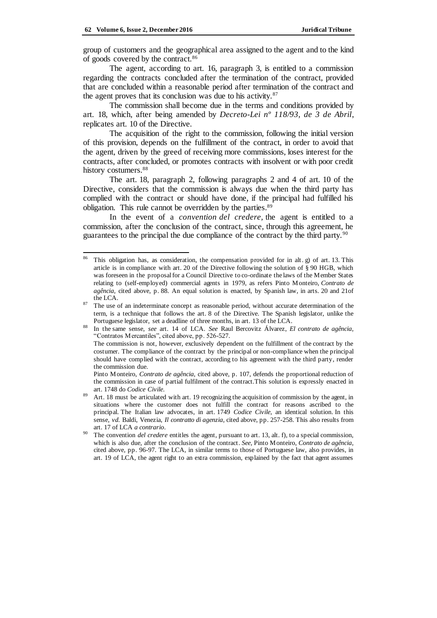group of customers and the geographical area assigned to the agent and to the kind of goods covered by the contract.<sup>86</sup>

The agent, according to art. 16, paragraph 3, is entitled to a commission regarding the contracts concluded after the termination of the contract, provided that are concluded within a reasonable period after termination of the contract and the agent proves that its conclusion was due to his activity.<sup>87</sup>

The commission shall become due in the terms and conditions provided by art. 18, which, after being amended by *Decreto-Lei nº 118/93, de 3 de Abril*, replicates art. 10 of the Directive.

The acquisition of the right to the commission, following the initial version of this provision, depends on the fulfillment of the contract, in order to avoid that the agent, driven by the greed of receiving more commissions, loses interest for the contracts, after concluded, or promotes contracts with insolvent or with poor credit history costumers.<sup>88</sup>

The art. 18, paragraph 2, following paragraphs 2 and 4 of art. 10 of the Directive, considers that the commission is always due when the third party has complied with the contract or should have done, if the principal had fulfilled his obligation. This rule cannot be overridden by the parties.<sup>89</sup>

In the event of a *convention del credere,* the agent is entitled to a commission, after the conclusion of the contract, since, through this agreement, he guarantees to the principal the due compliance of the contract by the third party.<sup>90</sup>

 $\overline{a}$ <sup>86</sup> This obligation has, as consideration, the compensation provided for in alt. g) of art. 13. This article is in compliance with art. 20 of the Directive following the solution of § 90 HGB, which was foreseen in the proposal for a Council Directive to co-ordinate the laws of the Member States relating to (self-employed) commercial agents in 1979, as refers Pinto Monteiro, *Contrato de agência*, cited above, p. 88. An equal solution is enacted, by Spanish law, in arts. 20 and 21of the LCA.

<sup>&</sup>lt;sup>87</sup> The use of an indeterminate concept as reasonable period, without accurate determination of the term, is a technique that follows the art. 8 of the Directive. The Spanish legislator, unlike the Portuguese legislator, set a deadline of three months, in art. 13 of the LCA.

<sup>88</sup> In the same sense, *see* art. 14 of LCA. *See* Raul Bercovitz Álvarez, *El contrato de agência*, "Contratos Mercantiles", cited above, pp. 526-527.

The commission is not, however, exclusively dependent on the fulfillment of the contract by the costumer. The compliance of the contract by the principal or non-compliance when the principal should have complied with the contract, according to his agreement with the third party, render the commission due.

Pinto Monteiro, *Contrato de agência*, cited above, p. 107, defends the proportional reduction of the commission in case of partial fulfilment of the contract.This solution is expressly enacted in art. 1748 do *Codice Civile*.

<sup>&</sup>lt;sup>89</sup> Art. 18 must be articulated with art. 19 recognizing the acquisition of commission by the agent, in situations where the customer does not fulfill the contract for reasons ascribed to the principal. The Italian law advocates, in art. 1749 *Codice Civile*, an identical solution. In this sense, *vd.* Baldi, Venezia, *Il contratto di agenzia*, cited above, pp. 257-258. This also results from art. 17 of LCA *a contrario*.

<sup>90</sup> The convention *del credere* entitles the agent, pursuant to art. 13, alt. f), to a special commission, which is also due, after the conclusion of the contract. *See*, Pinto Monteiro, *Contrato de agência*, cited above, pp. 96-97. The LCA, in similar terms to those of Portuguese law, also provides, in art. 19 of LCA, the agent right to an extra commission, explained by the fact that agent assumes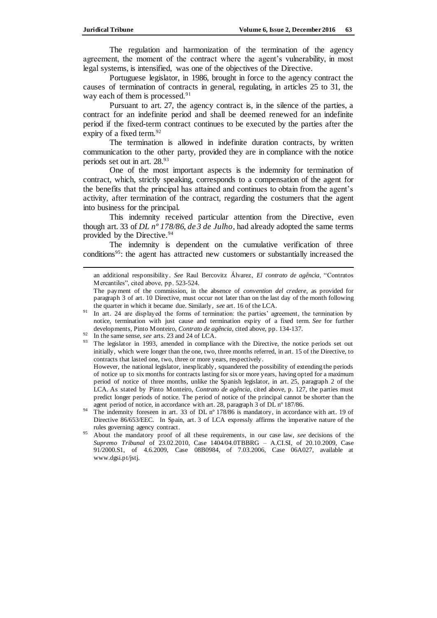The regulation and harmonization of the termination of the agency agreement, the moment of the contract where the agent's vulnerability, in most legal systems, is intensified, was one of the objectives of the Directive.

Portuguese legislator, in 1986, brought in force to the agency contract the causes of termination of contracts in general, regulating, in articles 25 to 31, the way each of them is processed.<sup>91</sup>

Pursuant to art. 27, the agency contract is, in the silence of the parties, a contract for an indefinite period and shall be deemed renewed for an indefinite period if the fixed-term contract continues to be executed by the parties after the expiry of a fixed term.<sup>92</sup>

The termination is allowed in indefinite duration contracts, by written communication to the other party, provided they are in compliance with the notice periods set out in art. 28.<sup>93</sup>

One of the most important aspects is the indemnity for termination of contract, which, strictly speaking, corresponds to a compensation of the agent for the benefits that the principal has attained and continues to obtain from the agent's activity, after termination of the contract, regarding the costumers that the agent into business for the principal.

This indemnity received particular attention from the Directive, even though art. 33 of *DL nº 178/86, de 3 de Julho*, had already adopted the same terms provided by the Directive.<sup>94</sup>

The indemnity is dependent on the cumulative verification of three conditions<sup>95</sup>: the agent has attracted new customers or substantially increased the

an additional responsibility. *See* Raul Bercovitz Álvarez, *El contrato de agência*, "Contratos Mercantiles", cited above, pp. 523-524.

However, the national legislator, inexplicably, squandered the possibility of extending the periods of notice up to six months for contracts lasting for six or more years, having opted for a maximum period of notice of three months, unlike the Spanish legislator, in art. 25, paragraph 2 of the LCA. As stated by Pinto Monteiro, *Contrato de agência*, cited above, p. 127, the parties must predict longer periods of notice. The period of notice of the principal cannot be shorter than the agent period of notice, in accordance with art. 28, paragraph 3 of DL nº 187/86.

<sup>94</sup> The indemnity foreseen in art. 33 of DL n° 178/86 is mandatory, in accordance with art. 19 of Directive 86/653/EEC. In Spain, art. 3 of LCA expressly affirms the imperative nature of the rules governing agency contract.

The payment of the commission, in the absence of *convention del credere*, as provided for paragraph 3 of art. 10 Directive, must occur not later than on the last day of the month following the quarter in which it became due. Similarly, *see* art. 16 of the LCA.

<sup>&</sup>lt;sup>91</sup> In art. 24 are displayed the forms of termination: the parties' agreement, the termination by notice, termination with just cause and termination expiry of a fixed term. *See* for further developments, Pinto Monteiro, *Contrato de agência*, cited above, pp. 134-137.

<sup>92</sup> In the same sense, *see* arts. 23 and 24 of LCA.

<sup>&</sup>lt;sup>93</sup> The legislator in 1993, amended in compliance with the Directive, the notice periods set out initially, which were longer than the one, two, three months referred, in art. 15 of the Directive, to contracts that lasted one, two, three or more years, respectively.

<sup>95</sup> About the mandatory proof of all these requirements, in our case law, *see* decisions of the *Supremo Tribunal* of 23.02.2010, Case 1404/04.0TBBRG – A.CI.SI, of 20.10.2009, Case 91/2000.S1, of 4.6.2009, Case 08B0984, of 7.03.2006, Case 06A027, available at www.dgsi.pt/jstj.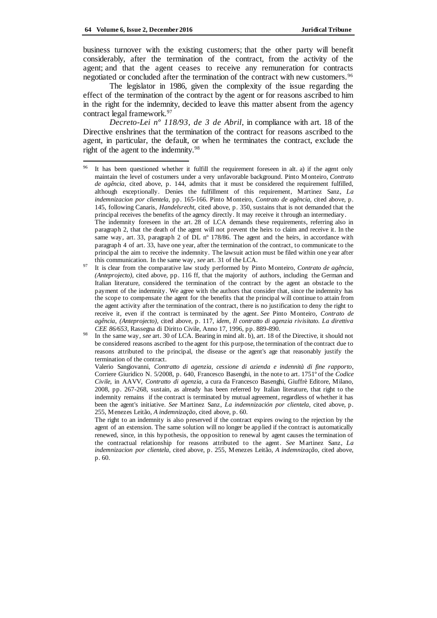business turnover with the existing customers; that the other party will benefit considerably, after the termination of the contract, from the activity of the agent; and that the agent ceases to receive any remuneration for contracts negotiated or concluded after the termination of the contract with new customers.<sup>96</sup>

The legislator in 1986, given the complexity of the issue regarding the effect of the termination of the contract by the agent or for reasons ascribed to him in the right for the indemnity, decided to leave this matter absent from the agency contract legal framework.<sup>97</sup>

*Decreto-Lei nº 118/93, de 3 de Abril*, in compliance with art. 18 of the Directive enshrines that the termination of the contract for reasons ascribed to the agent, in particular, the default, or when he terminates the contract, exclude the right of the agent to the indemnity.<sup>98</sup>

It has been questioned whether it fulfill the requirement foreseen in alt. a) if the agent only maintain the level of costumers under a very unfavorable background. Pinto Monteiro, *Contrato de agência*, cited above, p. 144, admits that it must be considered the requirement fulfilled, although exceptionally. Denies the fulfillment of this requirement, Martinez Sanz, *La indemnizacion por clientela,* pp. 165-166. Pinto Monteiro, *Contrato de agência*, cited above, p. 145, following Canaris, *Handelsrecht,* cited above, p. 350, sustains that is not demanded that the principal receives the benefits of the agency directly. It may receive it through an intermediary. The indemnity foreseen in the art. 28 of LCA demands these requirements, referring also in paragraph 2, that the death of the agent will not prevent the heirs to claim and receive it. In the same way, art. 33, paragraph 2 of DL n° 178/86. The agent and the heirs, in accordance with

paragraph 4 of art. 33, have one year, after the termination of the contract, to communicate to the principal the aim to receive the indemnity. The lawsuit action must be filed within one year after this communication. In the same way, *see* art. 31 of the LCA. <sup>97</sup> It is clear from the comparative law study performed by Pinto Monteiro, *Contrato de agência*,

*<sup>(</sup>Anteprojecto),* cited above, pp. 116 ff, that the majority of authors, including the German and Italian literature, considered the termination of the contract by the agent an obstacle to the payment of the indemnity. We agree with the authors that consider that, since the indemnity has the scope to compensate the agent for the benefits that the principal will continue to attain from the agent activity after the termination of the contract, there is no justification to deny the right to receive it, even if the contract is terminated by the agent*. See* Pinto Monteiro, *Contrato de agência*, *(Anteprojecto),* cited above, p. 117, *idem*, *Il contratto di agenzia rivisitato. La direttiva CEE 86/653*, Rassegna di Diritto Civile, Anno 17, 1996, pp. 889-890.

<sup>98</sup> In the same way, *see* art. 30 of LCA. Bearing in mind alt. b), art. 18 of the Directive, it should not be considered reasons ascribed to the agent for this purpose, the termination of the contract due to reasons attributed to the principal, the disease or the agent's age that reasonably justify the termination of the contract.

Valerio Sangiovanni, *Contratto di agenzia, cessione di azienda e indennità di fine rapporto*, Corriere Giuridico N. 5/2008, p. 640, Francesco Basenghi, in the note to art. 1751º of the *Codice Civile*, in AAVV, *Contratto di agenzia*, a cura da Francesco Basenghi, Giuffrè Editore, Milano, 2008, pp. 267-268, sustain, as already has been referred by Italian literature, that right to the indemnity remains if the contract is terminated by mutual agreement, regardless of whether it has been the agent's initiative. *See* Martinez Sanz, *La indemnización por clientela*, cited above, p. 255, Menezes Leitão, *A indemnização*, cited above, p. 60.

The right to an indemnity is also preserved if the contract expires owing to the rejection by the agent of an extension. The same solution will no longer be applied if the contract is automatically renewed, since, in this hypothesis, the opposition to renewal by agent causes the termination of the contractual relationship for reasons attributed to the agent. *See* Martinez Sanz, *La indemnizacion por clientela*, cited above, p. 255, Menezes Leitão, *A indemnização*, cited above, p. 60.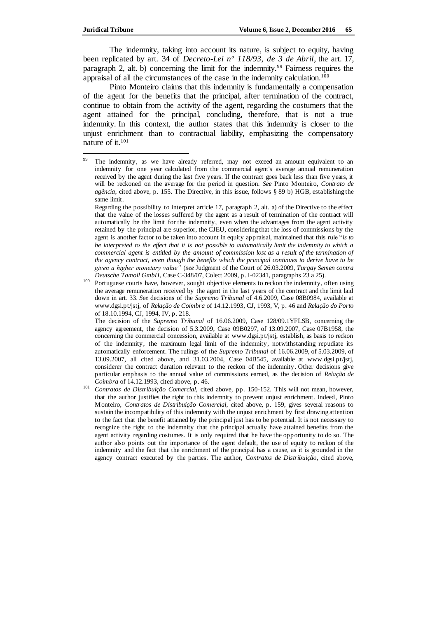The indemnity, taking into account its nature, is subject to equity, having been replicated by art. 34 of *Decreto-Lei nº 118/93, de 3 de Abril*, the art. 17, paragraph 2, alt. b) concerning the limit for the indemnity.<sup>99</sup> Fairness requires the appraisal of all the circumstances of the case in the indemnity calculation.<sup>100</sup>

Pinto Monteiro claims that this indemnity is fundamentally a compensation of the agent for the benefits that the principal, after termination of the contract, continue to obtain from the activity of the agent, regarding the costumers that the agent attained for the principal, concluding, therefore, that is not a true indemnity. In this context, the author states that this indemnity is closer to the unjust enrichment than to contractual liability, emphasizing the compensatory nature of it.<sup>101</sup>

The decision of the *Supremo Tribunal* of 16.06.2009, Case 128/09.1YFLSB, concerning the agency agreement, the decision of 5.3.2009, Case 09B0297, of 13.09.2007, Case 07B1958, the concerning the commercial concession, available at www.dgsi.pt/jstj, establish, as basis to reckon of the indemnity, the maximum legal limit of the indemnity, notwithstanding repudiate its automatically enforcement. The rulings of the *Supremo Tribunal* of 16.06.2009, of 5.03.2009, of 13.09.2007, all cited above, and 31.03.2004, Case 04B545, available at [www.dgsi.pt/jstj,](http://www.dgsi.pt/jstj,%20considerer%20the%20contract%20duration%20relevant%20to%20the%20reckon)  [considerer the contract duration relevant to the reckon](http://www.dgsi.pt/jstj,%20considerer%20the%20contract%20duration%20relevant%20to%20the%20reckon) of the indemnity. Other decisions give particular emphasis to the annual value of commissions earned, as the decision of *Relação de Coimbra* of 14.12.1993, cited above, p. 46.

<sup>99</sup> The indemnity, as we have already referred, may not exceed an amount equivalent to an indemnity for one year calculated from the commercial agent's average annual remuneration received by the agent during the last five years. If the contract goes back less than five years, it will be reckoned on the average for the period in question. *See* Pinto Monteiro, *Contrato de agência*, cited above, p. 155. The Directive, in this issue, follows § 89 b) HGB, establishing the same limit.

Regarding the possibility to interpret article 17, paragraph 2, alt. a) of the Directive to the effect that the value of the losses suffered by the agent as a result of termination of the contract will automatically be the limit for the indemnity, even when the advantages from the agent activity retained by the principal are superior, the CJEU, considering that the loss of commissions by the agent is another factor to be taken into account in equity appraisal, maintained that this rule "*is to be interpreted to the effect that it is not possible to automatically limit the indemnity to which a commercial agent is entitled by the amount of commission lost as a result of the termination of the agency contract, even though the benefits which the principal continues to derive have to be given a higher monetary value"* (*see* Judgment of the Court of 26.03.2009, *Turgay Semen contra Deutsche Tamoil GmbH*, Case C-348/07, Colect 2009, p. I-02341, paragraphs 23 a 25).

<sup>&</sup>lt;sup>100</sup> Portuguese courts have, however, sought objective elements to reckon the indemnity, often using the average remuneration received by the agent in the last years of the contract and the limit laid down in art. 33. *See* decisions of the *Supremo Tribunal* of 4.6.2009, Case 08B0984, available at www.dgsi.pt/jstj, of *Relação de Coimbra* of 14.12.1993, CJ, 1993, V, p. 46 and *Relação do Porto* of 18.10.1994, CJ, 1994, IV, p. 218.

<sup>101</sup> *Contratos de Distribuição Comercial,* cited above, pp. 150-152. This will not mean, however, that the author justifies the right to this indemnity to prevent unjust enrichment. Indeed, Pinto Monteiro, *Contratos de Distribuição Comercial*, cited above, p. 159, gives several reasons to sustain the incompatibility of this indemnity with the unjust enrichment by first drawing attention to the fact that the benefit attained by the principal just has to be potential. It is not necessary to recognize the right to the indemnity that the principal actually have attained benefits from the agent activity regarding costumes. It is only required that he have the opportunity to do so. The author also points out the importance of the agent default, the use of equity to reckon of the indemnity and the fact that the enrichment of the principal has a cause, as it is grounded in the agency contract executed by the parties. The author, *Contratos de Distribuição,* cited above,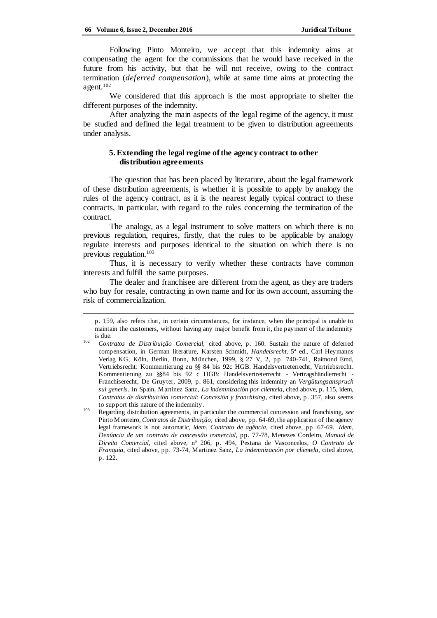Following Pinto Monteiro, we accept that this indemnity aims at compensating the agent for the commissions that he would have received in the future from his activity, but that he will not receive, owing to the contract termination (*deferred compensation*), while at same time aims at protecting the agent.<sup>102</sup>

We considered that this approach is the most appropriate to shelter the different purposes of the indemnity.

After analyzing the main aspects of the legal regime of the agency, it must be studied and defined the legal treatment to be given to distribution agreements under analysis.

## **5.Extending the legal regime of the agency contract to other distribution agreements**

The question that has been placed by literature, about the legal framework of these distribution agreements, is whether it is possible to apply by analogy the rules of the agency contract, as it is the nearest legally typical contract to these contracts, in particular, with regard to the rules concerning the termination of the contract.

The analogy, as a legal instrument to solve matters on which there is no previous regulation, requires, firstly, that the rules to be applicable by analogy regulate interests and purposes identical to the situation on which there is no previous regulation.<sup>103</sup>

Thus, it is necessary to verify whether these contracts have common interests and fulfill the same purposes.

The dealer and franchisee are different from the agent, as they are traders who buy for resale, contracting in own name and for its own account, assuming the risk of commercialization.

p. 159, also refers that, in certain circumstances, for instance, when the principal is unable to maintain the customers, without having any major benefit from it, the payment of the indemnity is due.

<sup>102</sup> *Contratos de Distribuição Comercial,* cited above, p. 160. Sustain the nature of deferred compensation, in German literature, Karsten Schmidt, *Handelsrecht*, 5ª ed., Carl Heymanns Verlag KG, Köln, Berlin, Bonn, München, 1999, § 27 V, 2, pp. 740-741, Raimond Emd, Vertriebsrecht: Kommentierung zu §§ 84 bis 92c HGB. Handelsvertreterrecht, Vertriebsrecht. Kommentierung zu §§84 bis 92 c HGB: Handelsvertreterrecht - Vertragshändlerrecht - Franchiserecht, De Gruyter, 2009, p. 861, considering this indemnity an *Vergütungsanspruch sui generis*. In Spain, Martinez Sanz, *La indemnización por clientela*, cited above, p. 115, idem, *Contratos de distribuición comercial: Concesión y franchising*, cited above, p. 357, also seems to support this nature of the indemnity.

<sup>103</sup> Regarding distribution agreements, in particular the commercial concession and franchising, *see* Pinto Monteiro, *Contratos de Distribuição*, cited above, pp. 64-69, the application of the agency legal framework is not automatic, *idem*, *Contrato de agência*, cited above, pp. 67-69. *Idem*, *Denúncia de um contrato de concessão comercial*, pp. 77-78, Menezes Cordeiro, *Manual de Direito Comercial*, cited above, nº 206, p. 494, Pestana de Vasconcelos, *O Contrato de Franquia*, cited above, pp. 73-74, Martinez Sanz, *La indemnización por clientela*, cited above, p. 122.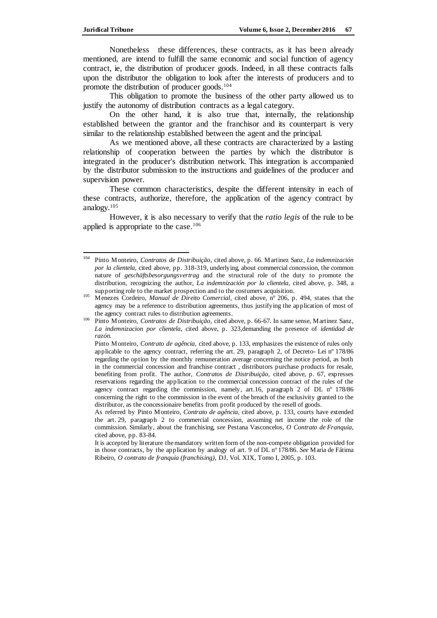Nonetheless these differences, these contracts, as it has been already mentioned, are intend to fulfill the same economic and social function of agency contract, ie, the distribution of producer goods. Indeed, in all these contracts falls upon the distributor the obligation to look after the interests of producers and to promote the distribution of producer goods.<sup>104</sup>

This obligation to promote the business of the other party allowed us to justify the autonomy of distribution contracts as a legal category.

On the other hand, it is also true that, internally, the relationship established between the grantor and the franchisor and its counterpart is very similar to the relationship established between the agent and the principal.

As we mentioned above, all these contracts are characterized by a lasting relationship of cooperation between the parties by which the distributor is integrated in the producer's distribution network. This integration is accompanied by the distributor submission to the instructions and guidelines of the producer and supervision power.

These common characteristics, despite the different intensity in each of these contracts, authorize, therefore, the application of the agency contract by analogy.<sup>105</sup>

However, it is also necessary to verify that the *ratio legis* of the rule to be applied is appropriate to the case.<sup>106</sup>

 $\overline{\phantom{a}}$ <sup>104</sup> Pinto Monteiro, *Contratos de Distribuição*, cited above, p. 66. Martinez Sanz, *La indemnización por la clientela*, cited above, pp. 318-319, underlying, about commercial concession, the common nature of *geschäftsbesorgungsvertrag* and the structural role of the duty to promote the distribution, recognizing the author, *La indemnización por la clientela,* cited above*,* p. 348, a supporting role to the market prospection and to the costumers acquisition.

<sup>&</sup>lt;sup>105</sup> Menezes Cordeiro, *Manual de Direito Comercial*, cited above, nº 206, p. 494, states that the agency may be a reference to distribution agreements, thus justifying the application of most of the agency contract rules to distribution agreements.

<sup>106</sup> Pinto Monteiro, *Contratos de Distribuição*, cited above, p. 66-67. In same sense, Martinez Sanz, *La indemnizacion por clientela*, cited above, p. 323,demanding the presence of *identidad de razón.*

Pinto Monteiro*, Contrato de agência,* cited above, p. 133, emphasizes the existence of rules only applicable to the agency contract, referring the art. 29, paragraph 2, of Decreto- Lei nº 178/86 regarding the option by the monthly remuneration average concerning the notice period, as both in the commercial concession and franchise contract , distributors purchase products for resale, benefiting from profit. The author, *Contratos de Distribuição*, cited above, p. 67, expresses reservations regarding the application to the commercial concession contract of the rules of the agency contract regarding the commission, namely, art.16, paragraph 2 of DL nº 178/86 concerning the right to the commission in the event of the breach of the exclusivity granted to the distributor, as the concessionaire benefits from profit produced by the resell of goods.

As referred by Pinto Monteiro, *Contrato de agência*, cited above, p. 133, courts have extended the art. 29, paragraph 2 to commercial concession, assuming net income the role of the commission. Similarly, about the franchising, *see* Pestana Vasconcelos, *O Contrato de Franquia*, cited above, pp. 83-84.

It is accepted by literature the mandatory written form of the non-compete obligation provided for in those contracts, by the application by analogy of art. 9 of DL nº 178/86. *See* Maria de Fátima Ribeiro, *O contrato de franquia (franchising)*, DJ, Vol. XIX, Tomo I, 2005, p. 103.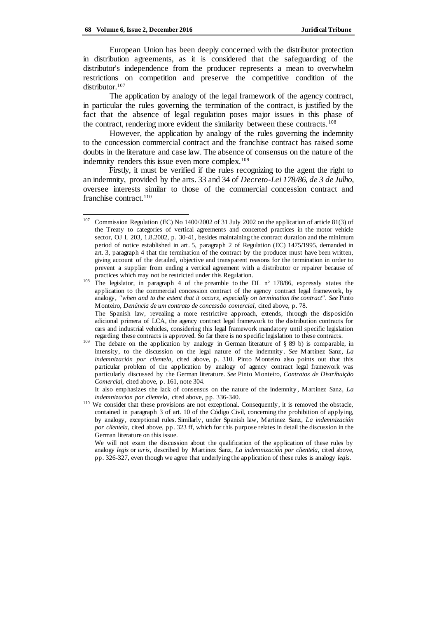European Union has been deeply concerned with the distributor protection in distribution agreements, as it is considered that the safeguarding of the distributor's independence from the producer represents a mean to overwhelm restrictions on competition and preserve the competitive condition of the distributor.<sup>107</sup>

The application by analogy of the legal framework of the agency contract, in particular the rules governing the termination of the contract, is justified by the fact that the absence of legal regulation poses major issues in this phase of the contract, rendering more evident the similarity between these contracts.<sup>108</sup>

However, the application by analogy of the rules governing the indemnity to the concession commercial contract and the franchise contract has raised some doubts in the literature and case law. The absence of consensus on the nature of the indemnity renders this issue even more complex.<sup>109</sup>

Firstly, it must be verified if the rules recognizing to the agent the right to an indemnity, provided by the arts. 33 and 34 of *Decreto-Lei 178/86, de 3 de Julho*, oversee interests similar to those of the commercial concession contract and franchise contract. 110

It also emphasizes the lack of consensus on the nature of the indemnity , Martinez Sanz, *La indemnizacion por clientela*, cited above, pp. 336-340.

<sup>107</sup> <sup>107</sup> Commission Regulation (EC) No 1400/2002 of 31 July 2002 on the application of article 81(3) of the Treaty to categories of vertical agreements and concerted practices in the motor vehicle sector, OJ L 203, 1.8.2002, p. 30-41, besides maintaining the contract duration and the minimum period of notice established in art. 5, paragraph 2 of Regulation (EC) 1475/1995, demanded in art. 3, paragraph 4 that the termination of the contract by the producer must have been written, giving account of the detailed, objective and transparent reasons for the termination in order to prevent a supplier from ending a vertical agreement with a distributor or repairer because of practices which may not be restricted under this Regulation.

<sup>&</sup>lt;sup>108</sup> The legislator, in paragraph 4 of the preamble to the DL n° 178/86, expressly states the application to the commercial concession contract of the agency contract legal framework, by analogy, *"when and to the extent that it occurs, especially on termination the contract". See* Pinto Monteiro, *Denúncia de um contrato de concessão comercial*, cited above, p. 78.

The Spanish law, revealing a more restrictive approach, extends, through the disposición adicional primera of LCA, the agency contract legal framework to the distribution contracts for cars and industrial vehicles, considering this legal framework mandatory until specific legislation regarding these contracts is approved. So far there is no specific legislation to these contracts.

<sup>&</sup>lt;sup>109</sup> The debate on the application by analogy in German literature of § 89 b) is comparable, in intensity, to the discussion on the legal nature of the indemnity . *See* Martinez Sanz, *La indemnización por clientela*, cited above, p. 310. Pinto Monteiro also points out that this particular problem of the application by analogy of agency contract legal framework was particularly discussed by the German literature. *See* Pinto Monteiro, *Contratos de Distribuição Comercial*, cited above, p. 161, note 304.

<sup>&</sup>lt;sup>110</sup> We consider that these provisions are not exceptional. Consequently, it is removed the obstacle, contained in paragraph 3 of art. 10 of the Código Civil, concerning the prohibition of applying, by analogy, exceptional rules. Similarly, under Spanish law, Martinez Sanz, *La indemnización por clientela*, cited above, pp. 323 ff, which for this purpose relates in detail the discussion in the German literature on this issue.

We will not exam the discussion about the qualification of the application of these rules by analogy *legis* or *iuris*, described by Martinez Sanz, *La indemnización por clientela*, cited above, pp. 326-327, even though we agree that underlying the application of these rules is analogy *legis.*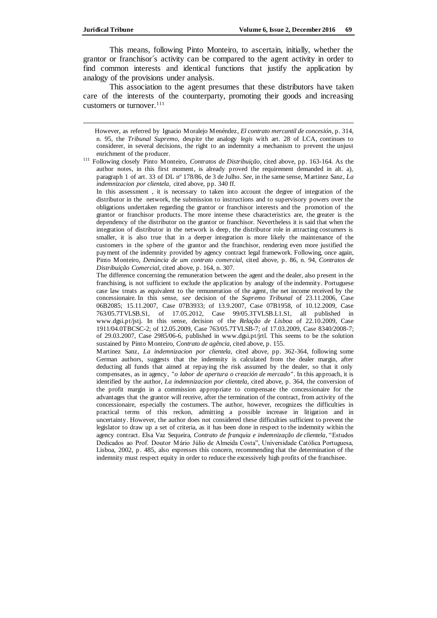j

This means, following Pinto Monteiro, to ascertain, initially, whether the grantor or franchisor´s activity can be compared to the agent activity in order to find common interests and identical functions that justify the application by analogy of the provisions under analysis.

This association to the agent presumes that these distributors have taken care of the interests of the counterparty, promoting their goods and increasing customers or turnover.  $111$ 

In this assessment , it is necessary to taken into account the degree of integration of the distributor in the network, the submission to instructions and to supervisory powers over the obligations undertaken regarding the grantor or franchisor interests and the promotion of the grantor or franchisor products. The more intense these characteristics are, the greater is the dependency of the distributor on the grantor or franchisor. Nevertheless it is said that when the integration of distributor in the network is deep, the distributor role in attracting costumers is smaller, it is also true that in a deeper integration is more likely the maintenance of the customers in the sphere of the grantor and the franchisor, rendering even more justified the payment of the indemnity provided by agency contract legal framework. Following, once again, Pinto Monteiro, *Denúncia de um contrato comercial*, cited above, p. 86, n. 94, *Contratos de Distribuição Comercial*, cited above, p. 164, n. 307.

The difference concerning the remuneration between the agent and the dealer, also present in the franchising, is not sufficient to exclude the application by analogy of the indemnity. Portuguese case law treats as equivalent to the remuneration of the agent, the net income received by the concessionaire. In this sense, *see* decision of the *Supremo Tribunal* of 23.11.2006, Case 06B2085; 15.11.2007, Case 07B3933; of 13.9.2007, Case 07B1958, of 10.12.2009, Case 763/05.7TVLSB.S1, of 17.05.2012, Case 99/05.3TVLSB.L1.S1, all published in www.dgsi.pt/jstj. In this sense, decision of the *Relação de Lisboa* of 22.10.2009, Case 1911/04.0TBCSC-2; of 12.05.2009, Case 763/05.7TVLSB-7; of 17.03.2009, Case 8340/2008-7; of 29.03.2007, Case 2985/06-6, published in www.dgsi.pt/jrtl. This seems to be the solution sustained by Pinto Monteiro, *Contrato de agência*, cited above, p. 155.

Martinez Sanz, *La indemnizacion por clientela*, cited above, pp. 362-364, following some German authors, suggests that the indemnity is calculated from the dealer margin, after deducting all funds that aimed at repaying the risk assumed by the dealer, so that it only compensates, as in agency, *"o labor de apertura o creación de mercado"*. In this approach, it is identified by the author, *La indemnizacion por clientela*, cited above, p. 364, the conversion of the profit margin in a commission appropriate to compensate the concessionaire for the advantages that the grantor will receive, after the termination of the contract, from activity of the concessionaire, especially the costumers. The author, however, recognizes the difficulties in practical terms of this reckon, admitting a possible increase in litigation and in uncertainty. However, the author does not considered these difficulties sufficient to prevent the legislator to draw up a set of criteria, as it has been done in respect to the indemnity within the agency contract. Elsa Vaz Sequeira, *Contrato de franquia e indemnização de clientela*, "Estudos Dedicados ao Prof. Doutor Mário Júlio de Almeida Costa", Universidade Católica Portuguesa, Lisboa, 2002, p. 485, also expresses this concern, recommending that the determination of the indemnity must respect equity in order to reduce the excessively high profits of the franchisee.

However, as referred by Ignacio Moralejo Menéndez, *El contrato mercantil de concesión*, p. 314, n. 95, the *Tribunal Supremo*, despite the analogy *legis* with art. 28 of LCA, continues to considerer, in several decisions, the right to an indemnity a mechanism to prevent the unjust enrichment of the producer.

<sup>111</sup> Following closely Pinto Monteiro, *Contratos de Distribuição*, cited above, pp. 163-164. As the author notes, in this first moment, is already proved the requirement demanded in alt. a), paragraph 1 of art. 33 of DL nº 178/86, de 3 de Julho. *See*, in the same sense, Martinez Sanz, *La indemnizacion por clientela*, cited above, pp. 340 ff.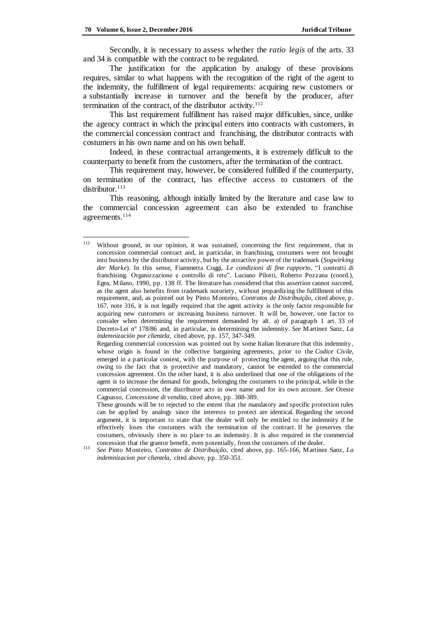Secondly, it is necessary to assess whether the *ratio legis* of the arts. 33 and 34 is compatible with the contract to be regulated.

The justification for the application by analogy of these provisions requires, similar to what happens with the recognition of the right of the agent to the indemnity, the fulfillment of legal requirements: acquiring new customers or a substantially increase in turnover and the benefit by the producer, after termination of the contract, of the distributor activity. $112$ 

This last requirement fulfillment has raised major difficulties, since, unlike the agency contract in which the principal enters into contracts with customers, in the commercial concession contract and franchising, the distributor contracts with costumers in his own name and on his own behalf.

Indeed, in these contractual arrangements, it is extremely difficult to the counterparty to benefit from the customers, after the termination of the contract.

This requirement may, however, be considered fulfilled if the counterparty, on termination of the contract, has effective access to customers of the distributor.<sup>113</sup>

This reasoning, although initially limited by the literature and case law to the commercial concession agreement can also be extended to franchise agreements.<sup>114</sup>

<sup>112</sup> Without ground, in our opinion, it was sustained, concerning the first requirement, that in concession commercial contract and, in particular, in franchising, costumers were not brought into business by the distributor activity, but by the attractive power of the trademark (*Sogwirking der Marke*). In this sense, Fiammetta Coggi, *Le condizioni di fine rapporto*, "I contratti di franchising. Organizzazione e controllo di rete", Luciano Pilotti, Roberto Pozzana (coord.), Egea, Milano, 1990, pp. 138 ff. The literature has considered that this assertion cannot succeed, as the agent also benefits from trademark notoriety, without jeopardizing the fulfillment of this requirement, and, as pointed out by Pinto Monteiro, *Contratos de Distribuição*, cited above, p. 167, note 316, it is not legally required that the agent activity is the only factor responsible for acquiring new customers or increasing business turnover. It will be, however, one factor to consider when determining the requirement demanded by alt. a) of paragraph 1 art. 33 of Decreto-Lei nº 178/86 and, in particular, in determining the indemnity. *See* Martinez Sanz, *La indemnización por clientela*, cited above, pp. 157, 347-349.

Regarding commercial concession was pointed out by some Italian literature that this indemnity, whose origin is found in the collective bargaining agreements, prior to the *Codice Civile*, emerged in a particular context, with the purpose of protecting the agent, arguing that this rule, owing to the fact that is protective and mandatory, cannot be extended to the commercial concession agreement. On the other hand, it is also underlined that one of the obligations of the agent is to increase the demand for goods, belonging the costumers to the principal, while in the commercial concession, the distributor acts in own name and for its own account. *See* Oreste Cagnasso, *Concessione di vendita*, cited above, pp. 388-389.

These grounds will be to rejected to the extent that the mandatory and specific protection rules can be applied by analogy since the interests to protect are identical. Regarding the second argument, it is important to state that the dealer will only be entitled to the indemnity if he effectively loses the costumers with the termination of the contract. If he preserves the costumers, obviously there is no place to an indemnity. It is also required in the commercial concession that the grantor benefit, even potentially, from the costumers of the dealer.

<sup>113</sup> *See* Pinto Monteiro, *Contratos de Distribuição*, cited above, pp. 165-166, Martinez Sanz, *La indemnizacion por clientela*, cited above, pp. 350-351.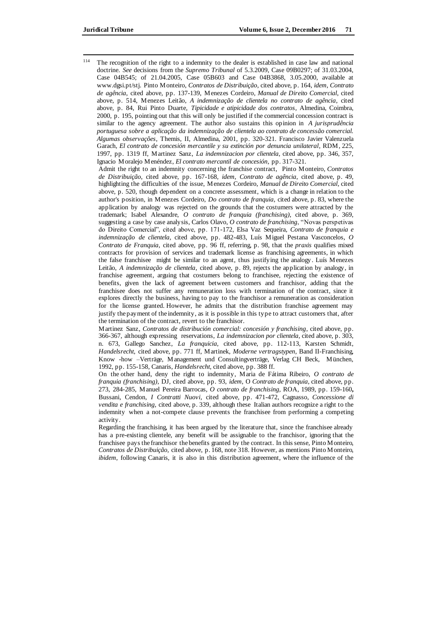114 The recognition of the right to a indemnity to the dealer is established in case law and national doctrine. *See* decisions from the *Supremo Tribunal* of 5.3.2009, Case 09B0297; of 31.03.2004, Case 04B545; of 21.04.2005, Case 05B603 and Case 04B3868, 3.05.2000, available at www.dgsi.pt/stj. Pinto Monteiro, *Contratos de Distribuição*, cited above, p. 164, *idem*, *Contrato de agência*, cited above, pp. 137-139, Menezes Cordeiro*, Manual de Direito Comercial*, cited above, p. 514, Menezes Leitão, *A indemnização de clientela no contrato de agência*, cited above, p. 84, Rui Pinto Duarte, *Tipicidade e atipicidade dos contratos*, Almedina, Coimbra, 2000, p. 195, pointing out that this will only be justified if the commercial concession contract is similar to the agency agreement. The author also sustains this opinion in *A jurisprudência portuguesa sobre a aplicação da indemnização de clientela ao contrato de concessão comercial. Algumas observações*, Themis, II, Almedina, 2001, pp. 320-321. Francisco Javier Valenzuela Garach, *El contrato de concesión mercantile y su extinción por denuncia unilateral*, RDM, 225, 1997, pp. 1319 ff, Martinez Sanz, *La indemnizacion por clientela*, cited above, pp. 346, 357, Ignacio Moralejo Menéndez, *El contrato mercantil de concesión*, pp. 317-321.

Admit the right to an indemnity concerning the franchise contract, Pinto Monteiro, *Contratos de Distribuição*, cited above, pp. 167-168, *idem*, *Contrato de agência*, cited above, p. 49, highlighting the difficulties of the issue, Menezes Cordeiro, *Manual de Direito Comercial*, cited above, p. 520, though dependent on a concrete assessment, which is a change in relation to the author's position, in Menezes Cordeiro, *Do contrato de franquia*, cited above, p. 83, where the application by analogy was rejected on the grounds that the costumers were attracted by the trademark; Isabel Alexandre, *O contrato de franquia (franchising)*, cited above, p. 369, suggesting a case by case analysis, Carlos Olavo, *O contrato de franchising*, "Novas perspetivas do Direito Comercial", cited above, pp. 171-172, Elsa Vaz Sequeira, *Contrato de franquia e indemnização de clientela*, cited above, pp. 482-483, Luís Miguel Pestana Vasconcelos, *O Contrato de Franquia*, cited above, pp. 96 ff, referring, p. 98, that the *praxis* qualifies mixed contracts for provision of services and trademark license as franchising agreements, in which the false franchisee might be similar to an agent, thus justifying the analogy . Luís Menezes Leitão, *A indemnização de clientela*, cited above, p. 89, rejects the application by analogy, in franchise agreement, arguing that costumers belong to franchisee, rejecting the existence of benefits, given the lack of agreement between customers and franchisor, adding that the franchisee does not suffer any remuneration loss with termination of the contract, since it explores directly the business, having to pay to the franchisor a remuneration as consideration for the license granted. However, he admits that the distribution franchise agreement may justify the payment of the indemnity, as it is possible in this type to attract customers that, after the termination of the contract, revert to the franchisor.

Martinez Sanz, *Contratos de distribución comercial: concesión y franchising*, cited above, pp. 366-367, although expressing reservations, *La indemnizacion por clientela*, cited above, p. 303, n. 673, Gallego Sanchez, *La franquicia*, cited above, pp. 112-113, Karsten Schmidt, *Handelsrecht*, cited above, pp. 771 ff, Martinek, *Moderne vertragstypen*, Band II-Franchising, Know -how –Verträge, Management und Consultingverträge, Verlag CH Beck, München, 1992, pp. 155-158, Canaris, *Handelsrecht,* cited above, pp. 388 ff.

On the other hand, deny the right to indemnity, Maria de Fátima Ribeiro, *O contrato de franquia (franchising),* DJ, cited above, pp. 93, *idem*, O *Contrato de franquia*, cited above, pp. 273, 284-285, Manuel Pereira Barrocas, *O contrato de franchising,* ROA, 1989, pp. 159-160**,**  Bussani, Cendon, *I Contratti Nuovi*, cited above, pp. 471-472, Cagnasso, *Concessione di vendita e franchising,* cited above, p. 339, although these Italian authors recognize a right to the indemnity when a not-compete clause prevents the franchisee from performing a competing activity.

Regarding the franchising, it has been argued by the literature that, since the franchisee already has a pre-existing clientele, any benefit will be assignable to the franchisor, ignoring that the franchisee pays the franchisor the benefits granted by the contract. In this sense, Pinto Monteiro, *Contratos de Distribuição,* cited above, p. 168, note 318. However, as mentions Pinto Monteiro, *ibidem,* following Canaris, it is also in this distribution agreement, where the influence of the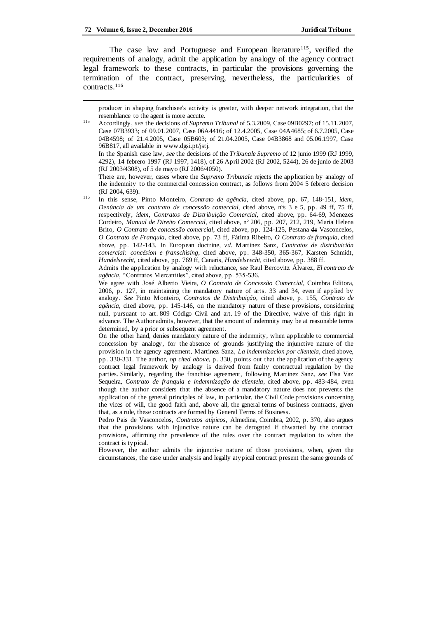j

The case law and Portuguese and European literature<sup>115</sup>, verified the requirements of analogy, admit the application by analogy of the agency contract legal framework to these contracts, in particular the provisions governing the termination of the contract, preserving, nevertheless, the particularities of contracts.<sup>116</sup>

4292), 14 febrero 1997 (RJ 1997, 1418), of 26 April 2002 (RJ 2002, 5244), 26 de junio de 2003 (RJ 2003/4308), of 5 de mayo (RJ 2006/4050).

There are, however, cases where the *Supremo Tribunale* rejects the application by analogy of the indemnity to the commercial concession contract, as follows from 2004 5 febrero decision (RJ 2004, 639).

Admits the application by analogy with reluctance, *see* Raul Bercovitz Álvarez, *El contrato de agência*, "Contratos Mercantiles", cited above, pp. 535-536.

We agree with José Alberto Vieira, *O Contrato de Concessão Comercial*, Coimbra Editora, 2006, p. 127, in maintaining the mandatory nature of arts. 33 and 34, even if applied by analogy. *See* Pinto Monteiro, *Contratos de Distribuição*, cited above, p. 155, *Contrato de agência*, cited above, pp. 145-146, on the mandatory nature of these provisions, considering null, pursuant to art. 809 Código Civil and art. 19 of the Directive, waive of this right in advance. The Author admits, however, that the amount of indemnity may be at reasonable terms determined, by a prior or subsequent agreement.

On the other hand, denies mandatory nature of the indemnity, when applicable to commercial concession by analogy, for the absence of grounds justifying the injunctive nature of the provision in the agency agreement, Martinez Sanz, *La indemnizacion por clientela*, cited above, pp. 330-331. The author, *op cited above*, p. 330, points out that the application of the agency contract legal framework by analogy is derived from faulty contractual regulation by the parties. Similarly, regarding the franchise agreement, following Martinez Sanz, *see* Elsa Vaz Sequeira, *Contrato de franquia e indemnização de clientela*, cited above, pp. 483-484, even though the author considers that the absence of a mandatory nature does not prevents the application of the general principles of law, in particular, the Civil Code provisions concerning the vices of will, the good faith and, above all, the general terms of business contracts, given that, as a rule, these contracts are formed by General Terms of Business.

Pedro Pais de Vasconcelos, *Contratos atípicos*, Almedina, Coimbra, 2002, p. 370, also argues that the provisions with injunctive nature can be derogated if thwarted by the contract provisions, affirming the prevalence of the rules over the contract regulation to when the contract is typical.

However, the author admits the injunctive nature of those provisions, when, given the circumstances, the case under analysis and legally atypical contract present the same grounds of

producer in shaping franchisee's activity is greater, with deeper network integration, that the resemblance to the agent is more accute.

<sup>115</sup> Accordingly, *see* the decisions of *Supremo Tribunal* of 5.3.2009, Case 09B0297; of 15.11.2007, Case 07B3933; of 09.01.2007, Case 06A4416; of 12.4.2005, Case 04A4685; of 6.7.2005, Case 04B4598; of 21.4.2005, Case 05B603; of 21.04.2005, Case 04B3868 and 05.06.1997, Case 96B817, all available in www.dgsi.pt/jstj. In the Spanish case law, *see* the decisions of the *Tribunale Supremo* of 12 junio 1999 (RJ 1999,

<sup>116</sup> In this sense, Pinto Monteiro, *Contrato de agência*, cited above, pp. 67, 148-151, *idem*, *Denúncia de um contrato de concessão comercial,* cited above, nºs 3 e 5, pp. 49 ff, 75 ff, respectively, *idem*, *Contratos de Distribuição Comercial*, cited above, pp. 64-69, Menezes Cordeiro, *Manual de Direito Comercial*, cited above, nº 206, pp. 207, 212, 219, Maria Helena Brito, *O Contrato de concessão comercial*, cited above, pp. 124-125, Pestana de Vasconcelos, *O Contrato de Franquia*, cited above, pp. 73 ff, Fátima Ribeiro, *O Contrato de franquia*, cited above, pp. 142-143. In European doctrine, *vd*. Martinez Sanz, *Contratos de distribuición comercial: concésion e franschising*, cited above, pp. 348-350, 365-367, Karsten Schmidt, *Handelsrecht,* cited above, pp. 769 ff, Canaris, *Handelsrecht*, cited above, pp. 388 ff.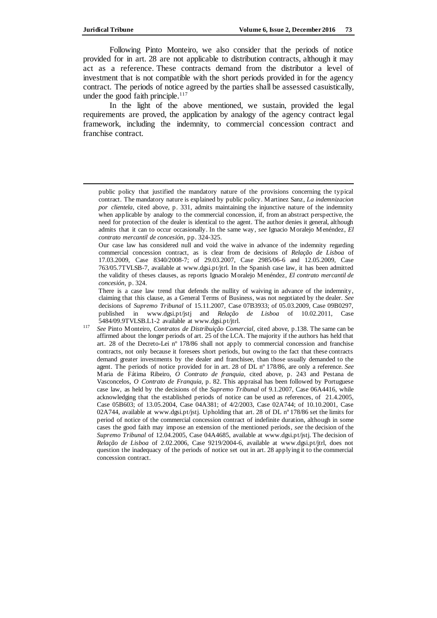Following Pinto Monteiro, we also consider that the periods of notice provided for in art. 28 are not applicable to distribution contracts, although it may act as a reference. These contracts demand from the distributor a level of investment that is not compatible with the short periods provided in for the agency contract. The periods of notice agreed by the parties shall be assessed casuistically, under the good faith principle. $117$ 

In the light of the above mentioned, we sustain, provided the legal requirements are proved, the application by analogy of the agency contract legal framework, including the indemnity, to commercial concession contract and franchise contract.

Our case law has considered null and void the waive in advance of the indemnity regarding commercial concession contract, as is clear from de decisions of *Relação de Lisboa* of 17.03.2009, Case 8340/2008-7; of 29.03.2007, Case 2985/06-6 and 12.05.2009, Case 763/05.7TVLSB-7, available at www.dgsi.pt/jtrl. In the Spanish case law, it has been admitted the validity of theses clauses, as reports Ignacio Moralejo Menéndez, *El contrato mercantil de concesión*, p. 324.

There is a case law trend that defends the nullity of waiving in advance of the indemnity, claiming that this clause, as a General Terms of Business, was not negotiated by the dealer. *See* decisions of *Supremo Tribunal* of 15.11.2007, Case 07B3933; of 05.03.2009, Case 09B0297, published in www.dgsi.pt/jstj and *Relação de Lisboa* of 10.02.2011, Case 5484/09.9TVLSB.L1-2 available at www.dgsi.pt/jtrl.

<sup>117</sup> *See* Pinto Monteiro, *Contratos de Distribuição Comercial*, cited above, p.138. The same can be affirmed about the longer periods of art. 25 of the LCA. The majority if the authors has held that art. 28 of the Decreto-Lei nº 178/86 shall not apply to commercial concession and franchise contracts, not only because it foresees short periods, but owing to the fact that these contracts demand greater investments by the dealer and franchisee, than those usually demanded to the agent. The periods of notice provided for in art. 28 of DL nº 178/86, are only a reference. *See*  Maria de Fátima Ribeiro, *O Contrato de franquia*, cited above, p. 243 and Pestana de Vasconcelos, *O Contrato de Franquia*, p. 82. This appraisal has been followed by Portuguese case law, as held by the decisions of the *Supremo Tribunal* of 9.1.2007, Case 06A4416, while acknowledging that the established periods of notice can be used as references, of 21.4.2005, Case 05B603; of 13.05.2004, Case 04A381; of 4/2/2003, Case 02A744; of 10.10.2001, Case 02A744, available at www.dgsi.pt/jstj. Upholding that art. 28 of DL nº 178/86 set the limits for period of notice of the commercial concession contract of indefinite duration, although in some cases the good faith may impose an extension of the mentioned periods, *see* the decision of the *Supremo Tribunal* of 12.04.2005, Case 04A4685, available at www.dgsi.pt/jstj. The decision of *Relação de Lisboa* of 2.02.2006, Case 9219/2004-6, available at www.dgsi.pt/jtrl, does not question the inadequacy of the periods of notice set out in art. 28 applying it to the commercial concession contract.

public policy that justified the mandatory nature of the provisions concerning the typical contract. The mandatory nature is explained by public policy. Martinez Sanz, *La indemnizacion por clientela*, cited above, p. 331, admits maintaining the injunctive nature of the indemnity when applicable by analogy to the commercial concession, if, from an abstract perspective, the need for protection of the dealer is identical to the agent. The author denies it general, although admits that it can to occur occasionally. In the same way, *see* Ignacio Moralejo Menéndez, *El contrato mercantil de concesión*, pp. 324-325.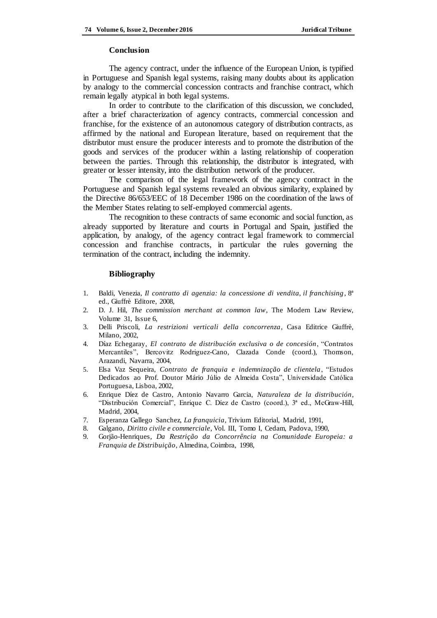### **Conclusion**

The agency contract, under the influence of the European Union, is typified in Portuguese and Spanish legal systems, raising many doubts about its application by analogy to the commercial concession contracts and franchise contract, which remain legally atypical in both legal systems.

In order to contribute to the clarification of this discussion, we concluded, after a brief characterization of agency contracts, commercial concession and franchise, for the existence of an autonomous category of distribution contracts, as affirmed by the national and European literature, based on requirement that the distributor must ensure the producer interests and to promote the distribution of the goods and services of the producer within a lasting relationship of cooperation between the parties. Through this relationship, the distributor is integrated, with greater or lesser intensity, into the distribution network of the producer.

The comparison of the legal framework of the agency contract in the Portuguese and Spanish legal systems revealed an obvious similarity, explained by the Directive 86/653/EEC of 18 December 1986 on the coordination of the laws of the Member States relating to self-employed commercial agents.

The recognition to these contracts of same economic and social function, as already supported by literature and courts in Portugal and Spain, justified the application, by analogy, of the agency contract legal framework to commercial concession and franchise contracts, in particular the rules governing the termination of the contract, including the indemnity.

#### **Bibliography**

- 1. Baldi, Venezia, *Il contratto di agenzia: la concessione di vendita, il franchising*, 8ª ed., Giuffrè Editore, 2008,
- 2. D. J. Hil, *The commission merchant at common law*, The Modern Law Review, Volume 31, Issue 6,
- 3. Delli Priscoli, *La restrizioni verticali della concorrenza*, Casa Editrice Giuffrè, Milano, 2002,
- 4. Díaz Echegaray, *El contrato de distribución exclusiva o de concesión*, "Contratos Mercantiles", Bercovitz Rodriguez-Cano, Clazada Conde (coord.), Thomson, Arazandi, Navarra, 2004,
- 5. Elsa Vaz Sequeira, *Contrato de franquia e indemnização de clientela*, "Estudos Dedicados ao Prof. Doutor Mário Júlio de Almeida Costa", Universidade Católica Portuguesa, Lisboa, 2002,
- 6. Enrique Díez de Castro, Antonio Navarro Garcia, *Naturaleza de la distribución*, "Distribución Comercial", Enrique C. Díez de Castro (coord.), 3ª ed., McGraw-Hill, Madrid, 2004,
- 7. Esperanza Gallego Sanchez, *La franquicia*, Trivium Editorial, Madrid, 1991,
- 8. Galgano, *Diritto civile e commerciale*, Vol. III, Tomo I, Cedam, Padova, 1990,
- 9. Gorjão-Henriques, *Da Restrição da Concorrência na Comunidade Europeia: a Franquia de Distribuição*, Almedina, Coimbra, 1998,